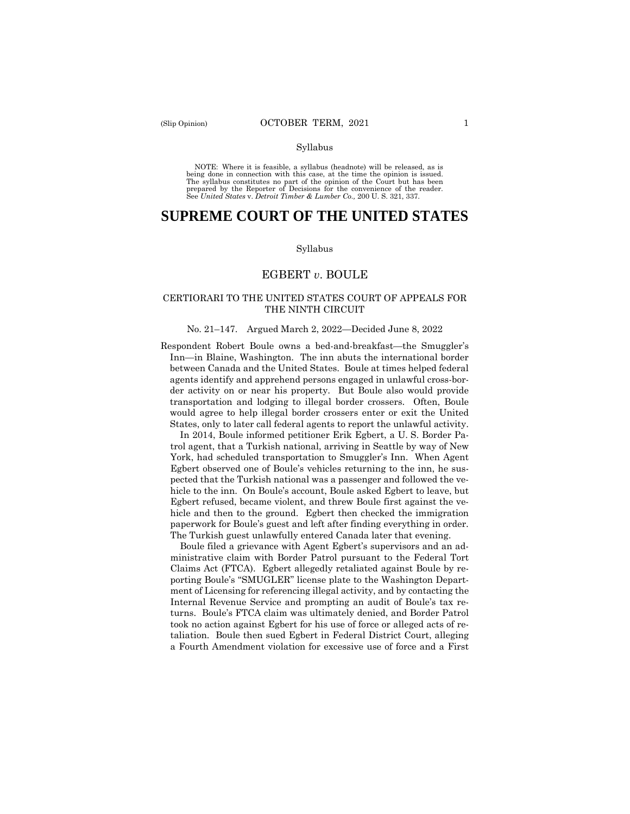NOTE: Where it is feasible, a syllabus (headnote) will be released, as is being done in connection with this case, at the time the opinion is issued. The syllabus constitutes no part of the opinion of the Court but has been<br>prepared by the Reporter of Decisions for the convenience of the reader.<br>See United States v. Detroit Timber & Lumber Co., 200 U.S. 321, 337.

# **SUPREME COURT OF THE UNITED STATES**

#### Syllabus

## EGBERT *v*. BOULE

### CERTIORARI TO THE UNITED STATES COURT OF APPEALS FOR THE NINTH CIRCUIT

#### No. 21–147. Argued March 2, 2022—Decided June 8, 2022

Respondent Robert Boule owns a bed-and-breakfast—the Smuggler's Inn—in Blaine, Washington. The inn abuts the international border between Canada and the United States. Boule at times helped federal agents identify and apprehend persons engaged in unlawful cross-border activity on or near his property. But Boule also would provide transportation and lodging to illegal border crossers. Often, Boule would agree to help illegal border crossers enter or exit the United States, only to later call federal agents to report the unlawful activity.

In 2014, Boule informed petitioner Erik Egbert, a U. S. Border Patrol agent, that a Turkish national, arriving in Seattle by way of New York, had scheduled transportation to Smuggler's Inn. When Agent Egbert observed one of Boule's vehicles returning to the inn, he suspected that the Turkish national was a passenger and followed the vehicle to the inn. On Boule's account, Boule asked Egbert to leave, but Egbert refused, became violent, and threw Boule first against the vehicle and then to the ground. Egbert then checked the immigration paperwork for Boule's guest and left after finding everything in order. The Turkish guest unlawfully entered Canada later that evening.

Boule filed a grievance with Agent Egbert's supervisors and an administrative claim with Border Patrol pursuant to the Federal Tort Claims Act (FTCA). Egbert allegedly retaliated against Boule by reporting Boule's "SMUGLER" license plate to the Washington Department of Licensing for referencing illegal activity, and by contacting the Internal Revenue Service and prompting an audit of Boule's tax returns. Boule's FTCA claim was ultimately denied, and Border Patrol took no action against Egbert for his use of force or alleged acts of retaliation. Boule then sued Egbert in Federal District Court, alleging a Fourth Amendment violation for excessive use of force and a First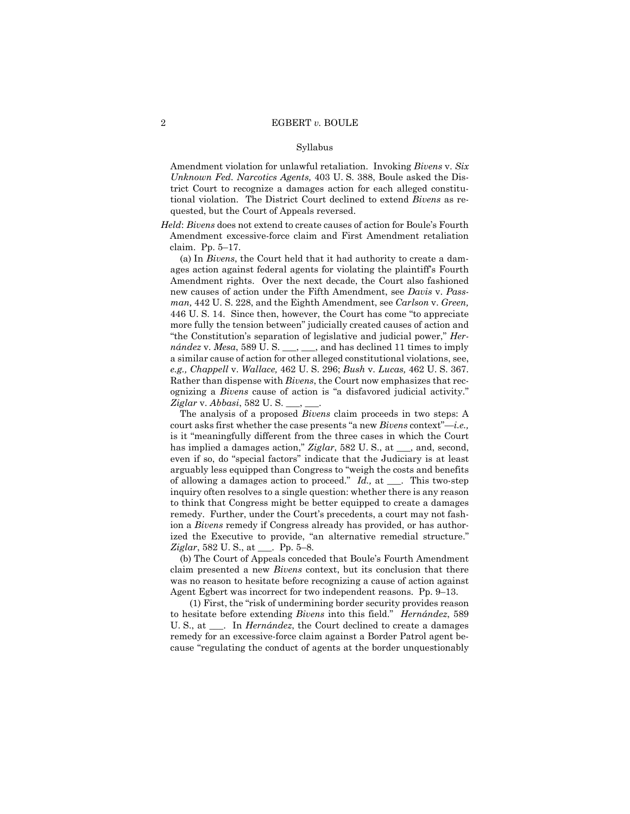Amendment violation for unlawful retaliation. Invoking *Bivens* v. *Six Unknown Fed. Narcotics Agents,* 403 U. S. 388, Boule asked the District Court to recognize a damages action for each alleged constitutional violation. The District Court declined to extend *Bivens* as requested, but the Court of Appeals reversed.

*Held*: *Bivens* does not extend to create causes of action for Boule's Fourth Amendment excessive-force claim and First Amendment retaliation claim. Pp. 5–17.

(a) In *Bivens*, the Court held that it had authority to create a damages action against federal agents for violating the plaintiff's Fourth Amendment rights. Over the next decade, the Court also fashioned new causes of action under the Fifth Amendment, see *Davis* v. *Passman,* 442 U. S. 228, and the Eighth Amendment, see *Carlson* v. *Green,*  446 U. S. 14. Since then, however, the Court has come "to appreciate more fully the tension between" judicially created causes of action and "the Constitution's separation of legislative and judicial power," *Hernández* v. *Mesa*, 589 U. S. \_\_\_, \_\_\_, and has declined 11 times to imply a similar cause of action for other alleged constitutional violations, see, *e.g., Chappell* v. *Wallace,* 462 U. S. 296; *Bush* v. *Lucas,* 462 U. S. 367. Rather than dispense with *Bivens*, the Court now emphasizes that recognizing a *Bivens* cause of action is "a disfavored judicial activity." *Ziglar* v. *Abbasi*, 582 U. S. \_\_\_, \_\_\_.

The analysis of a proposed *Bivens* claim proceeds in two steps: A court asks first whether the case presents "a new *Bivens* context"—*i.e.,*  is it "meaningfully different from the three cases in which the Court has implied a damages action," *Ziglar*, 582 U.S., at <sub>second</sub>, second, even if so, do "special factors" indicate that the Judiciary is at least arguably less equipped than Congress to "weigh the costs and benefits of allowing a damages action to proceed." *Id.,* at \_\_\_. This two-step inquiry often resolves to a single question: whether there is any reason to think that Congress might be better equipped to create a damages remedy. Further, under the Court's precedents, a court may not fashion a *Bivens* remedy if Congress already has provided, or has authorized the Executive to provide, "an alternative remedial structure." *Ziglar*, 582 U. S., at \_\_\_. Pp. 5–8.

(b) The Court of Appeals conceded that Boule's Fourth Amendment claim presented a new *Bivens* context, but its conclusion that there was no reason to hesitate before recognizing a cause of action against Agent Egbert was incorrect for two independent reasons. Pp. 9–13.

(1) First, the "risk of undermining border security provides reason to hesitate before extending *Bivens* into this field." *Hernández*, 589 U. S., at \_\_\_. In *Hernández*, the Court declined to create a damages remedy for an excessive-force claim against a Border Patrol agent because "regulating the conduct of agents at the border unquestionably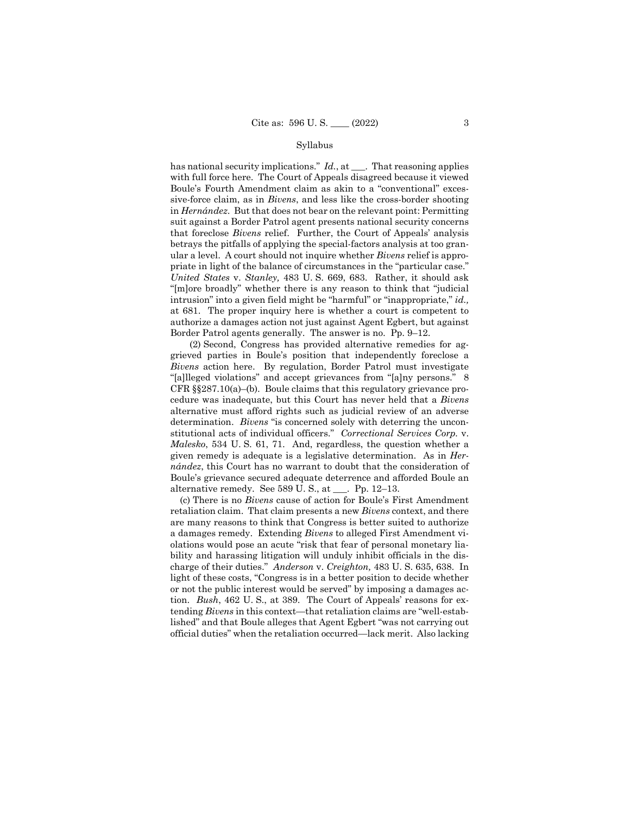at 681. The proper inquiry here is whether a court is competent to has national security implications." *Id.*, at \_\_\_. That reasoning applies with full force here. The Court of Appeals disagreed because it viewed Boule's Fourth Amendment claim as akin to a "conventional" excessive-force claim, as in *Bivens*, and less like the cross-border shooting in *Hernández*. But that does not bear on the relevant point: Permitting suit against a Border Patrol agent presents national security concerns that foreclose *Bivens* relief. Further, the Court of Appeals' analysis betrays the pitfalls of applying the special-factors analysis at too granular a level. A court should not inquire whether *Bivens* relief is appropriate in light of the balance of circumstances in the "particular case." *United States* v. *Stanley,* 483 U. S. 669, 683. Rather, it should ask "[m]ore broadly" whether there is any reason to think that "judicial intrusion" into a given field might be "harmful" or "inappropriate," *id.,*  authorize a damages action not just against Agent Egbert, but against Border Patrol agents generally. The answer is no. Pp. 9–12.

 determination. *Bivens* "is concerned solely with deterring the uncon-(2) Second, Congress has provided alternative remedies for aggrieved parties in Boule's position that independently foreclose a *Bivens* action here. By regulation, Border Patrol must investigate "[a]lleged violations" and accept grievances from "[a]ny persons." 8 CFR §§287.10(a)–(b). Boule claims that this regulatory grievance procedure was inadequate, but this Court has never held that a *Bivens*  alternative must afford rights such as judicial review of an adverse stitutional acts of individual officers." *Correctional Services Corp.* v. *Malesko*, 534 U. S. 61, 71. And, regardless, the question whether a given remedy is adequate is a legislative determination. As in *Hernández*, this Court has no warrant to doubt that the consideration of Boule's grievance secured adequate deterrence and afforded Boule an alternative remedy. See 589 U. S., at \_\_\_. Pp. 12–13.

(c) There is no *Bivens* cause of action for Boule's First Amendment retaliation claim. That claim presents a new *Bivens* context, and there are many reasons to think that Congress is better suited to authorize a damages remedy. Extending *Bivens* to alleged First Amendment violations would pose an acute "risk that fear of personal monetary liability and harassing litigation will unduly inhibit officials in the discharge of their duties." *Anderson* v. *Creighton,* 483 U. S. 635, 638. In light of these costs, "Congress is in a better position to decide whether or not the public interest would be served" by imposing a damages action. *Bush*, 462 U. S., at 389. The Court of Appeals' reasons for extending *Bivens* in this context—that retaliation claims are "well-established" and that Boule alleges that Agent Egbert "was not carrying out official duties" when the retaliation occurred—lack merit. Also lacking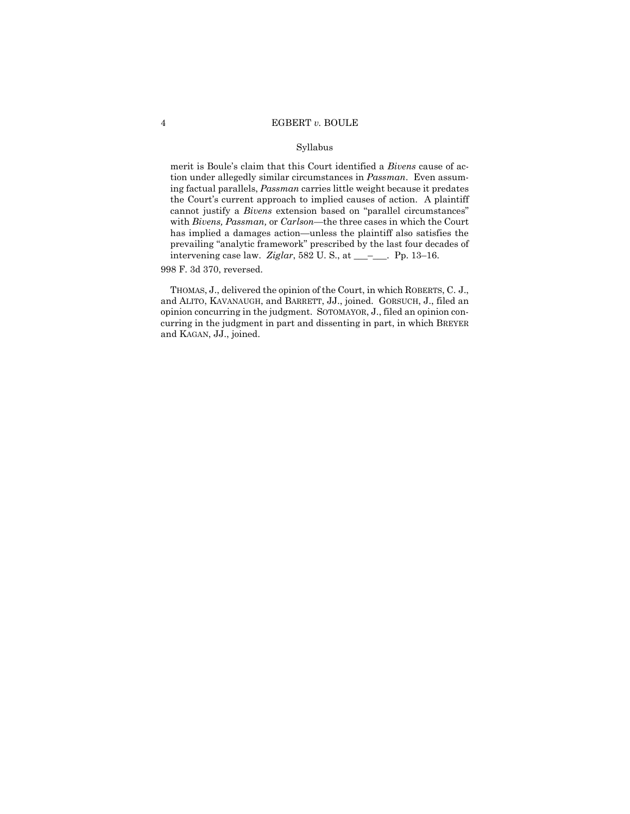merit is Boule's claim that this Court identified a *Bivens* cause of action under allegedly similar circumstances in *Passman*. Even assuming factual parallels, *Passman* carries little weight because it predates the Court's current approach to implied causes of action. A plaintiff cannot justify a *Bivens* extension based on "parallel circumstances" with *Bivens, Passman,* or *Carlson—*the three cases in which the Court has implied a damages action—unless the plaintiff also satisfies the prevailing "analytic framework" prescribed by the last four decades of intervening case law. *Ziglar*, 582 U. S., at \_\_\_–\_\_\_. Pp. 13–16.

998 F. 3d 370, reversed.

THOMAS, J., delivered the opinion of the Court, in which ROBERTS, C. J., and ALITO, KAVANAUGH, and BARRETT, JJ., joined. GORSUCH, J., filed an opinion concurring in the judgment. SOTOMAYOR, J., filed an opinion concurring in the judgment in part and dissenting in part, in which BREYER and KAGAN, JJ., joined.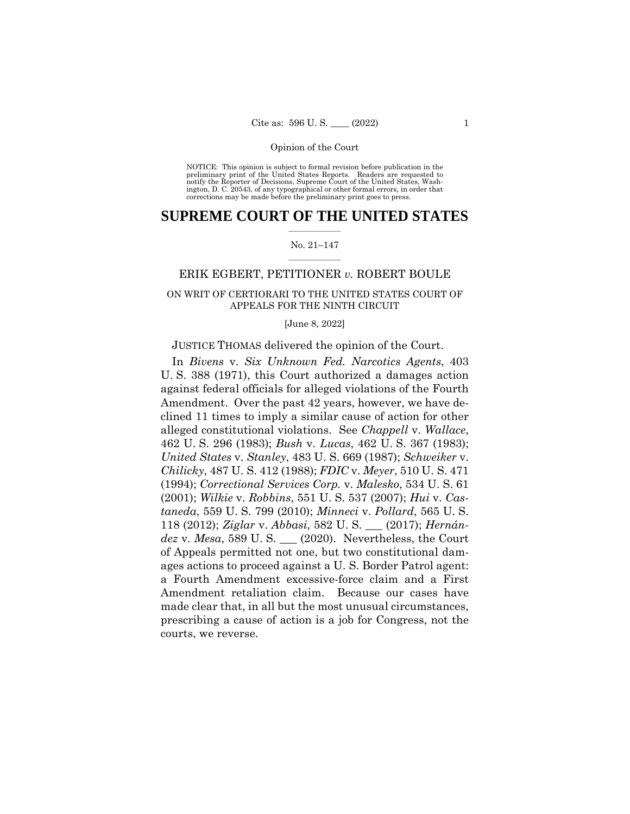NOTICE: This opinion is subject to formal revision before publication in the preliminary print of the United States Reports. Readers are requested to notify the Reporter of Decisions, Supreme Court of the United States, Wash-ington, D. C. 20543, of any typographical or other formal errors, in order that corrections may be made before the preliminary print goes to press.

### $\frac{1}{2}$  ,  $\frac{1}{2}$  ,  $\frac{1}{2}$  ,  $\frac{1}{2}$  ,  $\frac{1}{2}$  ,  $\frac{1}{2}$  ,  $\frac{1}{2}$ **SUPREME COURT OF THE UNITED STATES**

#### $\frac{1}{2}$  ,  $\frac{1}{2}$  ,  $\frac{1}{2}$  ,  $\frac{1}{2}$  ,  $\frac{1}{2}$  ,  $\frac{1}{2}$ No. 21–147

# ERIK EGBERT, PETITIONER *v.* ROBERT BOULE

# ON WRIT OF CERTIORARI TO THE UNITED STATES COURT OF APPEALS FOR THE NINTH CIRCUIT

[June 8, 2022]

## JUSTICE THOMAS delivered the opinion of the Court.

In *Bivens* v. *Six Unknown Fed. Narcotics Agents*, 403 U. S. 388 (1971), this Court authorized a damages action against federal officials for alleged violations of the Fourth Amendment. Over the past 42 years, however, we have declined 11 times to imply a similar cause of action for other alleged constitutional violations. See *Chappell* v. *Wallace*, 462 U. S. 296 (1983); *Bush* v. *Lucas*, 462 U. S. 367 (1983); *United States* v. *Stanley*, 483 U. S. 669 (1987); *Schweiker* v. *Chilicky*, 487 U. S. 412 (1988); *FDIC* v. *Meyer*, 510 U. S. 471 (1994); *Correctional Services Corp.* v. *Malesko*, 534 U. S. 61 (2001); *Wilkie* v. *Robbins*, 551 U. S. 537 (2007); *Hui* v. *Castaneda*, 559 U. S. 799 (2010); *Minneci* v. *Pollard*, 565 U. S. 118 (2012); *Ziglar* v. *Abbasi*, 582 U. S. \_\_\_ (2017); *Hernández* v. *Mesa*, 589 U. S. \_\_\_ (2020). Nevertheless, the Court of Appeals permitted not one, but two constitutional damages actions to proceed against a U. S. Border Patrol agent: a Fourth Amendment excessive-force claim and a First Amendment retaliation claim. Because our cases have made clear that, in all but the most unusual circumstances, prescribing a cause of action is a job for Congress, not the courts, we reverse.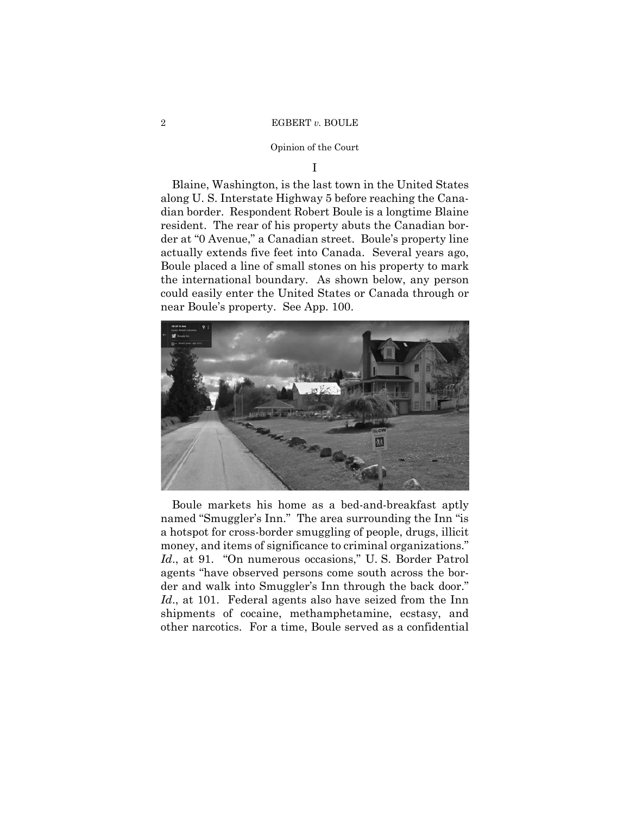## Opinion of the Court

I

Blaine, Washington, is the last town in the United States along U. S. Interstate Highway 5 before reaching the Canadian border. Respondent Robert Boule is a longtime Blaine resident. The rear of his property abuts the Canadian border at "0 Avenue," a Canadian street. Boule's property line actually extends five feet into Canada. Several years ago, Boule placed a line of small stones on his property to mark the international boundary. As shown below, any person could easily enter the United States or Canada through or near Boule's property. See App. 100.



Boule markets his home as a bed-and-breakfast aptly named "Smuggler's Inn." The area surrounding the Inn "is a hotspot for cross-border smuggling of people, drugs, illicit money, and items of significance to criminal organizations." *Id*., at 91. "On numerous occasions," U. S. Border Patrol agents "have observed persons come south across the border and walk into Smuggler's Inn through the back door." *Id*., at 101. Federal agents also have seized from the Inn shipments of cocaine, methamphetamine, ecstasy, and other narcotics. For a time, Boule served as a confidential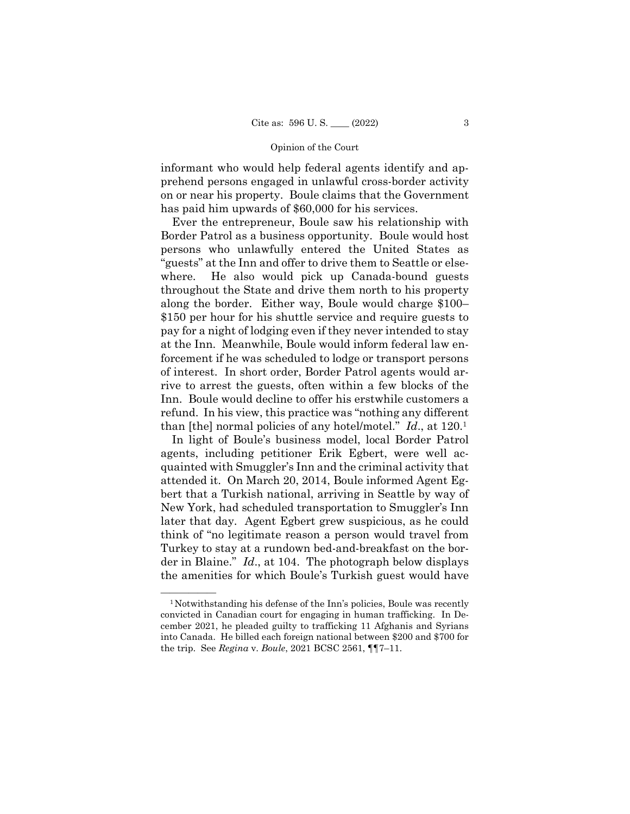informant who would help federal agents identify and apprehend persons engaged in unlawful cross-border activity on or near his property. Boule claims that the Government has paid him upwards of \$60,000 for his services.

Ever the entrepreneur, Boule saw his relationship with Border Patrol as a business opportunity. Boule would host persons who unlawfully entered the United States as "guests" at the Inn and offer to drive them to Seattle or elsewhere. He also would pick up Canada-bound guests throughout the State and drive them north to his property along the border. Either way, Boule would charge \$100– \$150 per hour for his shuttle service and require guests to pay for a night of lodging even if they never intended to stay at the Inn. Meanwhile, Boule would inform federal law enforcement if he was scheduled to lodge or transport persons of interest. In short order, Border Patrol agents would arrive to arrest the guests, often within a few blocks of the Inn. Boule would decline to offer his erstwhile customers a refund. In his view, this practice was "nothing any different than [the] normal policies of any hotel/motel." *Id*., at 120.1

In light of Boule's business model, local Border Patrol agents, including petitioner Erik Egbert, were well acquainted with Smuggler's Inn and the criminal activity that attended it. On March 20, 2014, Boule informed Agent Egbert that a Turkish national, arriving in Seattle by way of New York, had scheduled transportation to Smuggler's Inn later that day. Agent Egbert grew suspicious, as he could think of "no legitimate reason a person would travel from Turkey to stay at a rundown bed-and-breakfast on the border in Blaine." *Id*., at 104. The photograph below displays the amenities for which Boule's Turkish guest would have

 $<sup>1</sup>$  Notwithstanding his defense of the Inn's policies, Boule was recently</sup> convicted in Canadian court for engaging in human trafficking. In December 2021, he pleaded guilty to trafficking 11 Afghanis and Syrians into Canada. He billed each foreign national between \$200 and \$700 for the trip. See *Regina* v. *Boule*, 2021 BCSC 2561, ¶¶7–11.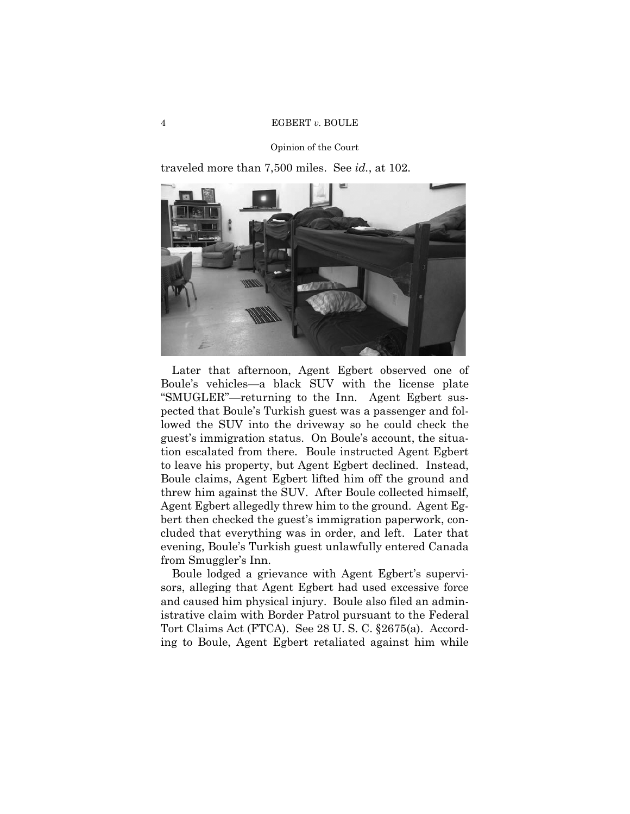traveled more than 7,500 miles. See *id.*, at 102.



Later that afternoon, Agent Egbert observed one of Boule's vehicles—a black SUV with the license plate "SMUGLER"—returning to the Inn. Agent Egbert suspected that Boule's Turkish guest was a passenger and followed the SUV into the driveway so he could check the guest's immigration status. On Boule's account, the situation escalated from there. Boule instructed Agent Egbert to leave his property, but Agent Egbert declined. Instead, Boule claims, Agent Egbert lifted him off the ground and threw him against the SUV. After Boule collected himself, Agent Egbert allegedly threw him to the ground. Agent Egbert then checked the guest's immigration paperwork, concluded that everything was in order, and left. Later that evening, Boule's Turkish guest unlawfully entered Canada from Smuggler's Inn.

Boule lodged a grievance with Agent Egbert's supervisors, alleging that Agent Egbert had used excessive force and caused him physical injury. Boule also filed an administrative claim with Border Patrol pursuant to the Federal Tort Claims Act (FTCA). See 28 U. S. C. §2675(a). According to Boule, Agent Egbert retaliated against him while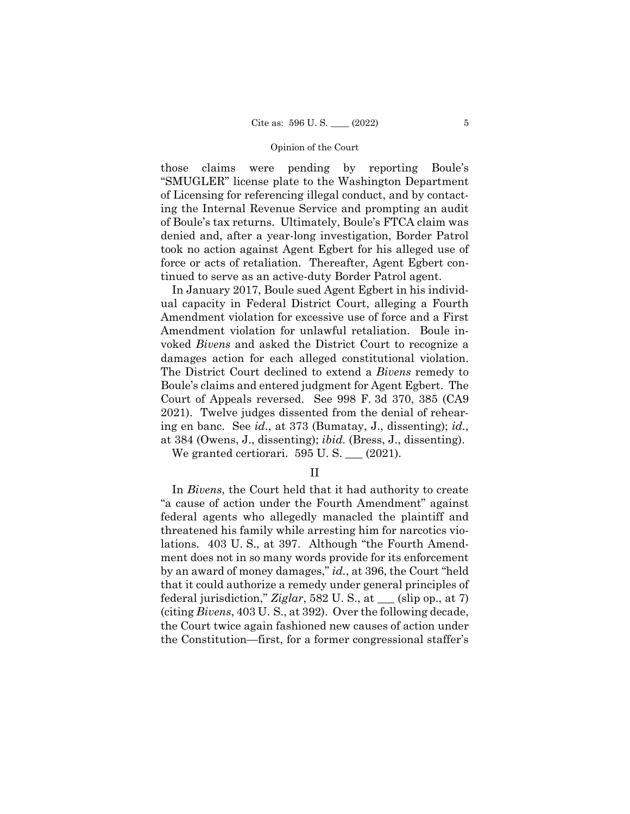those claims were pending by reporting Boule's "SMUGLER" license plate to the Washington Department of Licensing for referencing illegal conduct, and by contacting the Internal Revenue Service and prompting an audit of Boule's tax returns. Ultimately, Boule's FTCA claim was denied and, after a year-long investigation, Border Patrol took no action against Agent Egbert for his alleged use of force or acts of retaliation. Thereafter, Agent Egbert continued to serve as an active-duty Border Patrol agent.

In January 2017, Boule sued Agent Egbert in his individual capacity in Federal District Court, alleging a Fourth Amendment violation for excessive use of force and a First Amendment violation for unlawful retaliation. Boule invoked *Bivens* and asked the District Court to recognize a damages action for each alleged constitutional violation. The District Court declined to extend a *Bivens* remedy to Boule's claims and entered judgment for Agent Egbert. The Court of Appeals reversed. See 998 F. 3d 370, 385 (CA9 2021). Twelve judges dissented from the denial of rehearing en banc. See *id.*, at 373 (Bumatay, J., dissenting); *id.*, at 384 (Owens, J., dissenting); *ibid.* (Bress, J., dissenting).

We granted certiorari.  $595$  U.S.  $\_\_$  (2021).

II

 In *Bivens*, the Court held that it had authority to create "a cause of action under the Fourth Amendment" against federal agents who allegedly manacled the plaintiff and threatened his family while arresting him for narcotics violations. 403 U. S., at 397. Although "the Fourth Amendment does not in so many words provide for its enforcement by an award of money damages," *id.*, at 396, the Court "held that it could authorize a remedy under general principles of federal jurisdiction," *Ziglar*, 582 U. S., at \_\_\_ (slip op., at 7) (citing *Bivens*, 403 U. S., at 392). Over the following decade, the Court twice again fashioned new causes of action under the Constitution—first, for a former congressional staffer's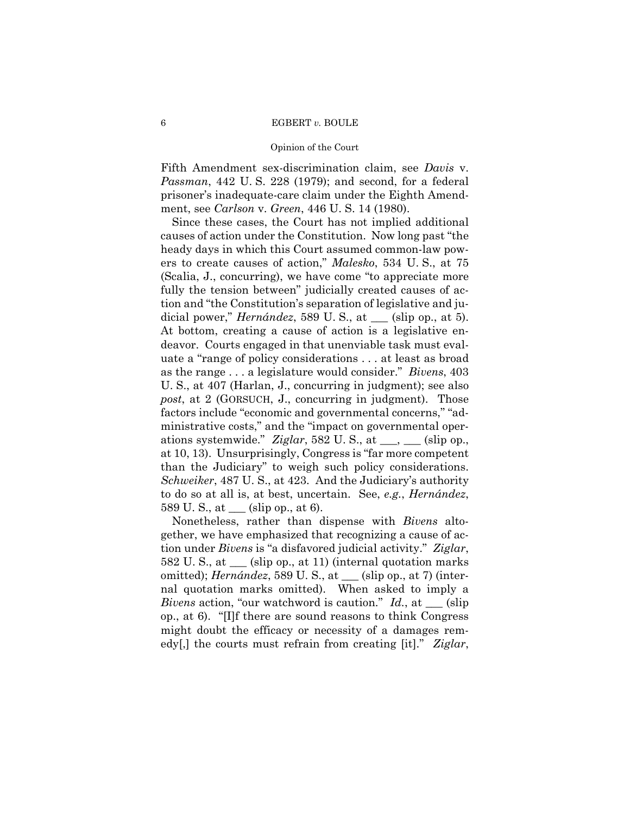#### Opinion of the Court

Fifth Amendment sex-discrimination claim, see *Davis* v. *Passman*, 442 U. S. 228 (1979); and second, for a federal prisoner's inadequate-care claim under the Eighth Amendment, see *Carlson* v. *Green*, 446 U. S. 14 (1980).

Since these cases, the Court has not implied additional causes of action under the Constitution. Now long past "the heady days in which this Court assumed common-law powers to create causes of action," *Malesko*, 534 U. S., at 75 (Scalia, J., concurring), we have come "to appreciate more fully the tension between" judicially created causes of action and "the Constitution's separation of legislative and judicial power," *Hernández*, 589 U. S., at <sub>\_\_\_</sub> (slip op., at 5). At bottom, creating a cause of action is a legislative endeavor. Courts engaged in that unenviable task must evaluate a "range of policy considerations . . . at least as broad as the range . . . a legislature would consider." *Bivens*, 403 U. S., at 407 (Harlan, J., concurring in judgment); see also *post*, at 2 (GORSUCH, J., concurring in judgment). Those factors include "economic and governmental concerns," "administrative costs," and the "impact on governmental operations systemwide." *Ziglar*, 582 U. S., at  $\_\_\_\_\_\_\_$  (slip op., at 10, 13). Unsurprisingly, Congress is "far more competent than the Judiciary" to weigh such policy considerations. *Schweiker*, 487 U. S., at 423. And the Judiciary's authority to do so at all is, at best, uncertain. See, *e.g.*, *Hernández*, 589 U. S., at \_\_\_ (slip op., at 6).

Nonetheless, rather than dispense with *Bivens* altogether, we have emphasized that recognizing a cause of action under *Bivens* is "a disfavored judicial activity." *Ziglar*, 582 U. S., at \_\_\_ (slip op., at 11) (internal quotation marks omitted); *Hernández*, 589 U. S., at \_\_\_ (slip op., at 7) (internal quotation marks omitted). When asked to imply a *Bivens* action, "our watchword is caution." *Id.*, at \_\_\_ (slip op., at 6). "[I]f there are sound reasons to think Congress might doubt the efficacy or necessity of a damages remedy[,] the courts must refrain from creating [it]." *Ziglar*,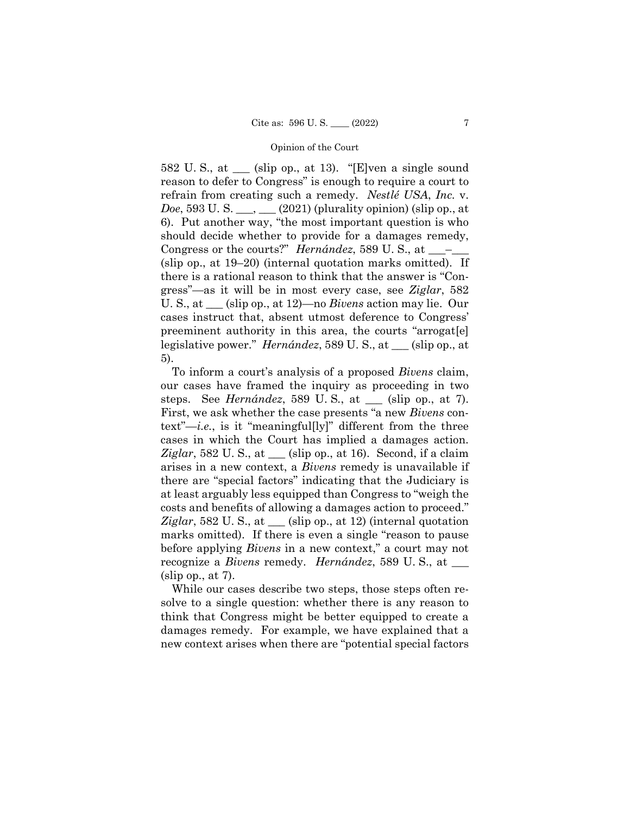582 U.S., at  $\_\_$  (slip op., at 13). "[E]ven a single sound reason to defer to Congress" is enough to require a court to refrain from creating such a remedy. *Nestlé USA*, *Inc.* v. *Doe*, 593 U. S. <sub>\_\_\_</sub>, \_\_ (2021) (plurality opinion) (slip op., at 6). Put another way, "the most important question is who should decide whether to provide for a damages remedy, Congress or the courts?" *Hernández*, 589 U.S., at \_\_\_ (slip op., at 19–20) (internal quotation marks omitted). If there is a rational reason to think that the answer is "Congress"—as it will be in most every case, see *Ziglar*, 582 U. S., at \_\_\_ (slip op., at 12)—no *Bivens* action may lie. Our cases instruct that, absent utmost deference to Congress' preeminent authority in this area, the courts "arrogat[e] legislative power." *Hernández*, 589 U. S., at \_\_\_ (slip op., at 5).

To inform a court's analysis of a proposed *Bivens* claim, our cases have framed the inquiry as proceeding in two steps. See *Hernández*, 589 U. S*.*, at \_\_\_ (slip op., at 7). First, we ask whether the case presents "a new *Bivens* context"—*i.e.*, is it "meaningful[ly]" different from the three cases in which the Court has implied a damages action. *Ziglar*, 582 U. S., at  $\_\_\$  (slip op., at 16). Second, if a claim arises in a new context, a *Bivens* remedy is unavailable if there are "special factors" indicating that the Judiciary is at least arguably less equipped than Congress to "weigh the costs and benefits of allowing a damages action to proceed." *Ziglar*, 582 U. S., at \_\_\_ (slip op., at 12) (internal quotation marks omitted). If there is even a single "reason to pause before applying *Bivens* in a new context," a court may not recognize a *Bivens* remedy. *Hernández*, 589 U. S., at \_\_\_  $(slip$  op., at 7).

While our cases describe two steps, those steps often resolve to a single question: whether there is any reason to think that Congress might be better equipped to create a damages remedy. For example, we have explained that a new context arises when there are "potential special factors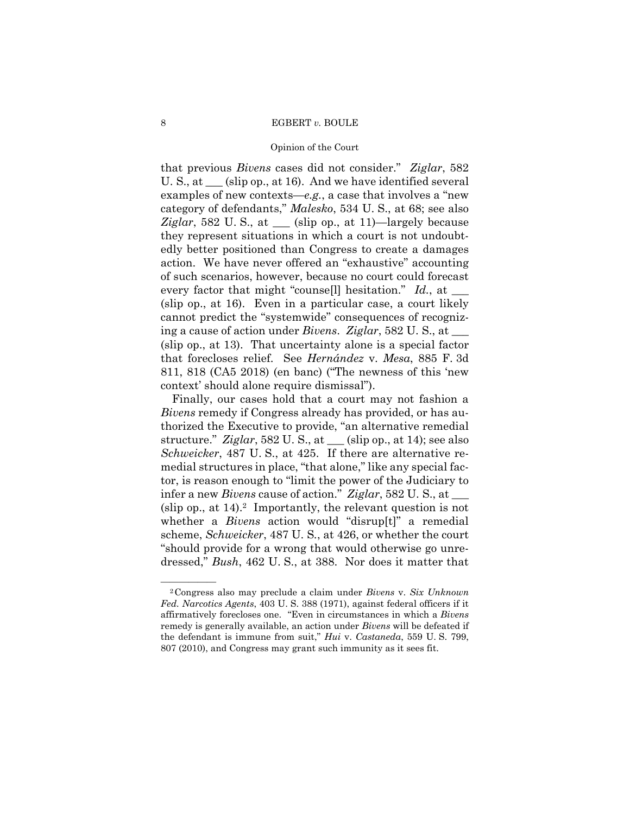### Opinion of the Court

that previous *Bivens* cases did not consider." *Ziglar*, 582 U. S., at \_\_\_ (slip op., at 16). And we have identified several examples of new contexts—*e.g.*, a case that involves a "new category of defendants," *Malesko*, 534 U. S., at 68; see also *Ziglar*, 582 U. S., at \_\_\_ (slip op., at 11)—largely because they represent situations in which a court is not undoubtedly better positioned than Congress to create a damages action. We have never offered an "exhaustive" accounting of such scenarios, however, because no court could forecast every factor that might "counse<sup>[1]</sup> hesitation." *Id.*, at \_\_\_\_ (slip op., at 16). Even in a particular case, a court likely cannot predict the "systemwide" consequences of recognizing a cause of action under *Bivens*. *Ziglar*, 582 U. S., at \_\_\_ (slip op., at 13). That uncertainty alone is a special factor that forecloses relief. See *Hernández* v. *Mesa*, 885 F. 3d 811, 818 (CA5 2018) (en banc) ("The newness of this 'new context' should alone require dismissal").

Finally, our cases hold that a court may not fashion a *Bivens* remedy if Congress already has provided, or has authorized the Executive to provide, "an alternative remedial structure." *Ziglar*, 582 U. S., at \_\_\_ (slip op., at 14); see also *Schweicker*, 487 U. S., at 425. If there are alternative remedial structures in place, "that alone," like any special factor, is reason enough to "limit the power of the Judiciary to infer a new *Bivens* cause of action." *Ziglar*, 582 U. S., at \_\_\_ (slip op., at  $14$ ).<sup>2</sup> Importantly, the relevant question is not whether a *Bivens* action would "disrup[t]" a remedial scheme, *Schweicker*, 487 U. S*.*, at 426, or whether the court "should provide for a wrong that would otherwise go unredressed," *Bush*, 462 U. S., at 388. Nor does it matter that

<sup>—————— 2</sup>Congress also may preclude a claim under *Bivens* v. *Six Unknown Fed. Narcotics Agents*, 403 U. S. 388 (1971), against federal officers if it affirmatively forecloses one. "Even in circumstances in which a *Bivens*  remedy is generally available, an action under *Bivens* will be defeated if the defendant is immune from suit," *Hui* v. *Castaneda*, 559 U. S. 799, 807 (2010), and Congress may grant such immunity as it sees fit.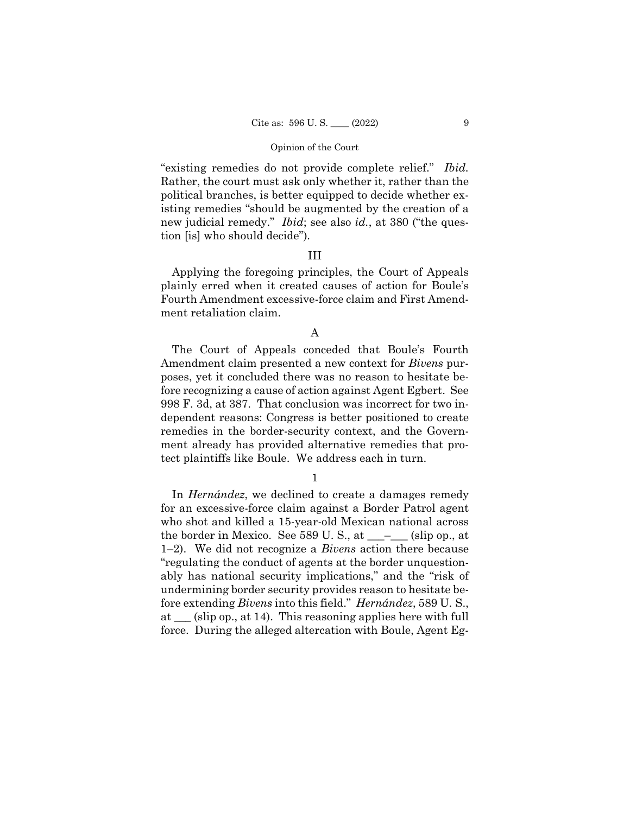"existing remedies do not provide complete relief." *Ibid.* Rather, the court must ask only whether it, rather than the political branches, is better equipped to decide whether existing remedies "should be augmented by the creation of a new judicial remedy." *Ibid*; see also *id.*, at 380 ("the question [is] who should decide")*.* 

## III

Applying the foregoing principles, the Court of Appeals plainly erred when it created causes of action for Boule's Fourth Amendment excessive-force claim and First Amendment retaliation claim.

# A

The Court of Appeals conceded that Boule's Fourth Amendment claim presented a new context for *Bivens* purposes, yet it concluded there was no reason to hesitate before recognizing a cause of action against Agent Egbert. See 998 F. 3d, at 387. That conclusion was incorrect for two independent reasons: Congress is better positioned to create remedies in the border-security context, and the Government already has provided alternative remedies that protect plaintiffs like Boule. We address each in turn.

1

In *Hernández*, we declined to create a damages remedy for an excessive-force claim against a Border Patrol agent who shot and killed a 15-year-old Mexican national across the border in Mexico. See 589 U.S., at  $\_\_\_\_\_\_$  (slip op., at 1–2). We did not recognize a *Bivens* action there because "regulating the conduct of agents at the border unquestionably has national security implications," and the "risk of undermining border security provides reason to hesitate before extending *Bivens* into this field." *Hernández*, 589 U. S., at \_\_\_ (slip op., at 14). This reasoning applies here with full force. During the alleged altercation with Boule, Agent Eg-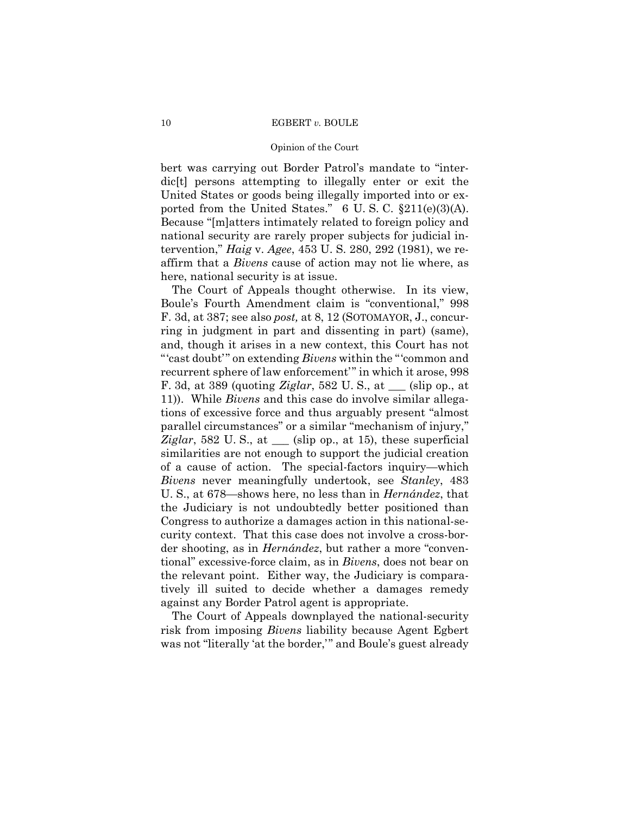bert was carrying out Border Patrol's mandate to "interdic[t] persons attempting to illegally enter or exit the United States or goods being illegally imported into or exported from the United States."  $6 \text{ U.S. C. } \S211(e)(3)(\text{A}).$ Because "[m]atters intimately related to foreign policy and national security are rarely proper subjects for judicial intervention," *Haig* v. *Agee*, 453 U. S. 280, 292 (1981), we reaffirm that a *Bivens* cause of action may not lie where, as here, national security is at issue.

The Court of Appeals thought otherwise. In its view, Boule's Fourth Amendment claim is "conventional," 998 F. 3d, at 387; see also *post,* at 8, 12 (SOTOMAYOR, J., concurring in judgment in part and dissenting in part) (same), and, though it arises in a new context, this Court has not "'cast doubt'" on extending *Bivens* within the "'common and recurrent sphere of law enforcement'" in which it arose, 998 F. 3d, at 389 (quoting *Ziglar*, 582 U. S., at \_\_\_ (slip op., at 11)). While *Bivens* and this case do involve similar allegations of excessive force and thus arguably present "almost parallel circumstances" or a similar "mechanism of injury," *Ziglar*, 582 U.S., at  $\equiv$  (slip op., at 15), these superficial similarities are not enough to support the judicial creation of a cause of action. The special-factors inquiry—which *Bivens* never meaningfully undertook, see *Stanley*, 483 U. S., at 678—shows here, no less than in *Hernández*, that the Judiciary is not undoubtedly better positioned than Congress to authorize a damages action in this national-security context. That this case does not involve a cross-border shooting, as in *Hernández*, but rather a more "conventional" excessive-force claim, as in *Bivens*, does not bear on the relevant point. Either way, the Judiciary is comparatively ill suited to decide whether a damages remedy against any Border Patrol agent is appropriate.

The Court of Appeals downplayed the national-security risk from imposing *Bivens* liability because Agent Egbert was not "literally 'at the border,'" and Boule's guest already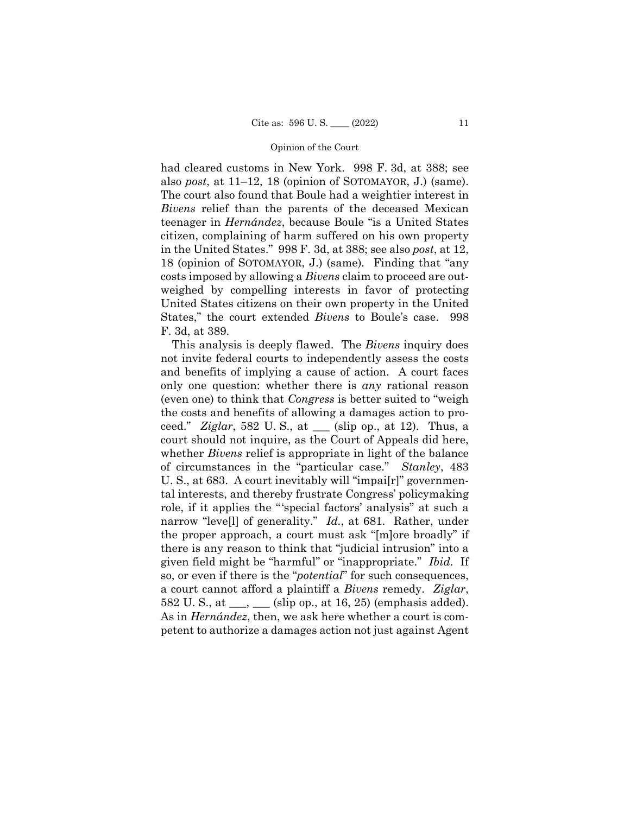had cleared customs in New York. 998 F. 3d, at 388; see also *post*, at 11–12, 18 (opinion of SOTOMAYOR, J.) (same). The court also found that Boule had a weightier interest in *Bivens* relief than the parents of the deceased Mexican teenager in *Hernández*, because Boule "is a United States citizen, complaining of harm suffered on his own property in the United States." 998 F. 3d, at 388; see also *post*, at 12, 18 (opinion of SOTOMAYOR, J.) (same)*.* Finding that "any costs imposed by allowing a *Bivens* claim to proceed are outweighed by compelling interests in favor of protecting United States citizens on their own property in the United States," the court extended *Bivens* to Boule's case. 998 F. 3d, at 389.

 given field might be "harmful" or "inappropriate." *Ibid.* If This analysis is deeply flawed. The *Bivens* inquiry does not invite federal courts to independently assess the costs and benefits of implying a cause of action. A court faces only one question: whether there is *any* rational reason (even one) to think that *Congress* is better suited to "weigh the costs and benefits of allowing a damages action to proceed." *Ziglar*, 582 U. S., at \_\_\_ (slip op., at 12). Thus, a court should not inquire, as the Court of Appeals did here, whether *Bivens* relief is appropriate in light of the balance of circumstances in the "particular case." *Stanley*, 483 U. S., at 683. A court inevitably will "impai[r]" governmental interests, and thereby frustrate Congress' policymaking role, if it applies the "'special factors' analysis" at such a narrow "leve[l] of generality." *Id.*, at 681. Rather, under the proper approach, a court must ask "[m]ore broadly" if there is any reason to think that "judicial intrusion" into a so, or even if there is the "*potential*" for such consequences, a court cannot afford a plaintiff a *Bivens* remedy. *Ziglar*, 582 U. S., at  $\_\_\_\_\_\_\_$  (slip op., at 16, 25) (emphasis added). As in *Hernández*, then, we ask here whether a court is competent to authorize a damages action not just against Agent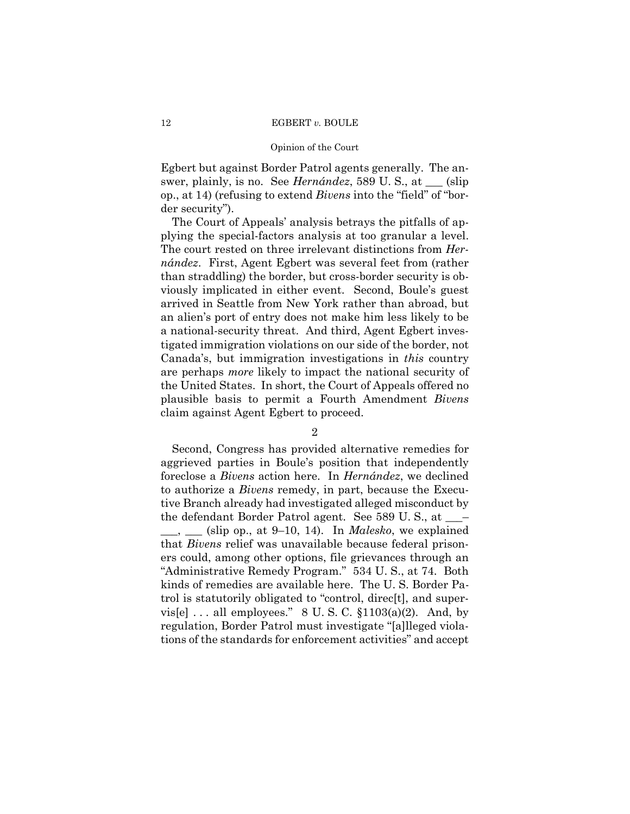#### Opinion of the Court

Egbert but against Border Patrol agents generally. The answer, plainly, is no. See *Hernández*, 589 U. S., at \_\_\_ (slip op., at 14) (refusing to extend *Bivens* into the "field" of "border security").

The Court of Appeals' analysis betrays the pitfalls of applying the special-factors analysis at too granular a level. The court rested on three irrelevant distinctions from *Hernández*. First, Agent Egbert was several feet from (rather than straddling) the border, but cross-border security is obviously implicated in either event. Second, Boule's guest arrived in Seattle from New York rather than abroad, but an alien's port of entry does not make him less likely to be a national-security threat. And third, Agent Egbert investigated immigration violations on our side of the border, not Canada's, but immigration investigations in *this* country are perhaps *more* likely to impact the national security of the United States. In short, the Court of Appeals offered no plausible basis to permit a Fourth Amendment *Bivens*  claim against Agent Egbert to proceed.

# 2

Second, Congress has provided alternative remedies for aggrieved parties in Boule's position that independently foreclose a *Bivens* action here. In *Hernández*, we declined to authorize a *Bivens* remedy, in part, because the Executive Branch already had investigated alleged misconduct by the defendant Border Patrol agent. See 589 U. S., at \_\_\_–  $\_\_\_\_\_\_\_\_\$  (slip op., at 9–10, 14). In *Malesko*, we explained that *Bivens* relief was unavailable because federal prisoners could, among other options, file grievances through an "Administrative Remedy Program." 534 U. S., at 74. Both kinds of remedies are available here. The U. S. Border Patrol is statutorily obligated to "control, direc[t], and supervis[e]  $\ldots$  all employees." 8 U.S.C.  $$1103(a)(2)$ . And, by regulation, Border Patrol must investigate "[a]lleged violations of the standards for enforcement activities" and accept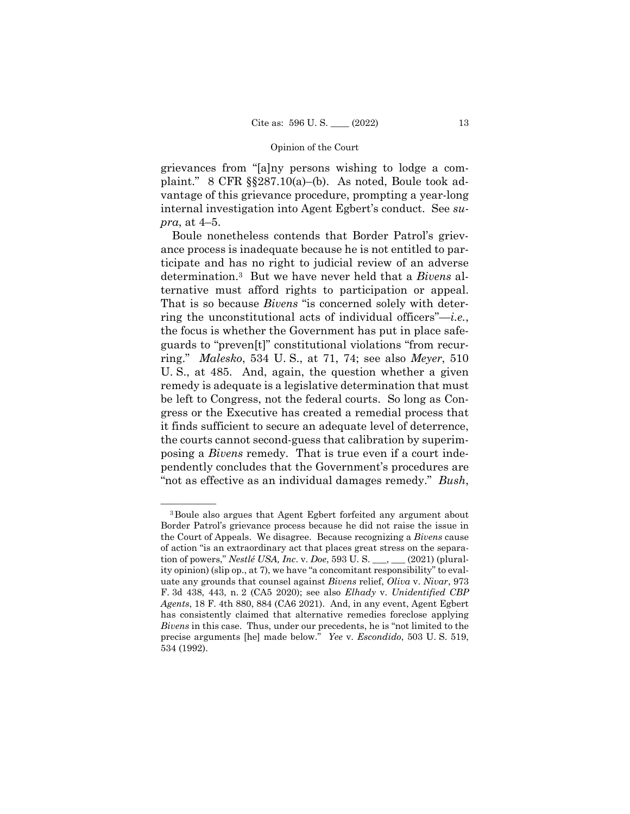grievances from "[a]ny persons wishing to lodge a complaint." 8 CFR §§287.10(a)–(b). As noted, Boule took advantage of this grievance procedure, prompting a year-long internal investigation into Agent Egbert's conduct. See *supra*, at 4–5.

Boule nonetheless contends that Border Patrol's grievance process is inadequate because he is not entitled to participate and has no right to judicial review of an adverse determination.3 But we have never held that a *Bivens* alternative must afford rights to participation or appeal. That is so because *Bivens* "is concerned solely with deterring the unconstitutional acts of individual officers"—*i.e.*, the focus is whether the Government has put in place safeguards to "preven[t]" constitutional violations "from recurring." *Malesko*, 534 U. S., at 71, 74; see also *Meyer*, 510 U. S., at 485. And, again, the question whether a given remedy is adequate is a legislative determination that must be left to Congress, not the federal courts. So long as Congress or the Executive has created a remedial process that it finds sufficient to secure an adequate level of deterrence, the courts cannot second-guess that calibration by superimposing a *Bivens* remedy. That is true even if a court independently concludes that the Government's procedures are "not as effective as an individual damages remedy." *Bush*,

 the Court of Appeals. We disagree. Because recognizing a *Bivens* cause <sup>3</sup> Boule also argues that Agent Egbert forfeited any argument about Border Patrol's grievance process because he did not raise the issue in of action "is an extraordinary act that places great stress on the separation of powers," *Nestlé USA, Inc*. v. *Doe*, 593 U. S. \_\_\_, \_\_\_ (2021) (plurality opinion) (slip op., at 7), we have "a concomitant responsibility" to evaluate any grounds that counsel against *Bivens* relief, *Oliva* v. *Nivar*, 973 F. 3d 438, 443, n. 2 (CA5 2020); see also *Elhady* v. *Unidentified CBP Agents*, 18 F. 4th 880, 884 (CA6 2021). And, in any event, Agent Egbert has consistently claimed that alternative remedies foreclose applying *Bivens* in this case. Thus, under our precedents, he is "not limited to the precise arguments [he] made below." *Yee* v. *Escondido*, 503 U. S. 519, 534 (1992).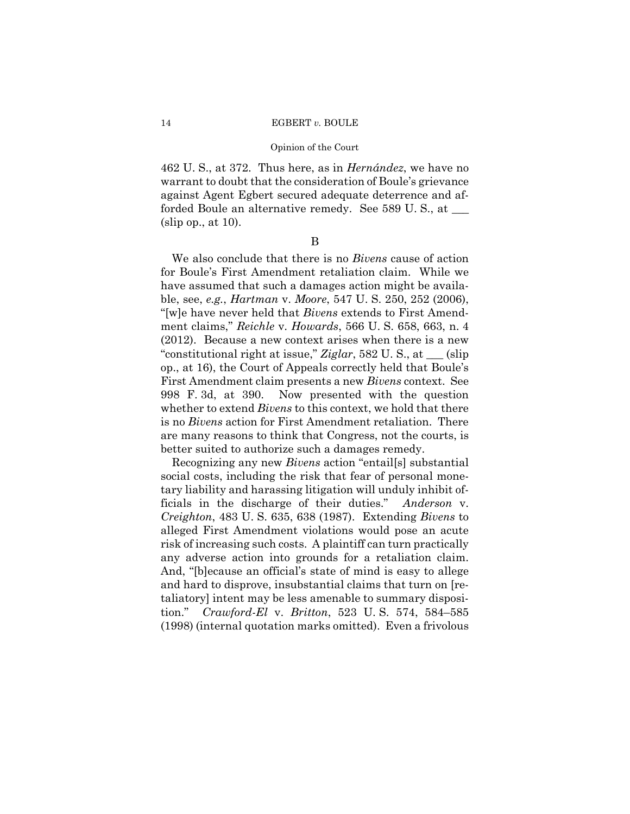#### Opinion of the Court

462 U. S., at 372. Thus here, as in *Hernández*, we have no warrant to doubt that the consideration of Boule's grievance against Agent Egbert secured adequate deterrence and afforded Boule an alternative remedy. See 589 U. S., at \_\_\_ (slip op., at 10).

B

We also conclude that there is no *Bivens* cause of action for Boule's First Amendment retaliation claim. While we have assumed that such a damages action might be available, see, *e.g.*, *Hartman* v. *Moore*, 547 U. S. 250, 252 (2006), "[w]e have never held that *Bivens* extends to First Amendment claims," *Reichle* v. *Howards*, 566 U. S. 658, 663, n. 4 (2012). Because a new context arises when there is a new "constitutional right at issue," *Ziglar*, 582 U. S., at \_\_\_ (slip op., at 16), the Court of Appeals correctly held that Boule's First Amendment claim presents a new *Bivens* context. See 998 F. 3d, at 390. Now presented with the question whether to extend *Bivens* to this context, we hold that there is no *Bivens* action for First Amendment retaliation. There are many reasons to think that Congress, not the courts, is better suited to authorize such a damages remedy.

Recognizing any new *Bivens* action "entail[s] substantial social costs, including the risk that fear of personal monetary liability and harassing litigation will unduly inhibit officials in the discharge of their duties." *Anderson* v. *Creighton*, 483 U. S. 635, 638 (1987). Extending *Bivens* to alleged First Amendment violations would pose an acute risk of increasing such costs. A plaintiff can turn practically any adverse action into grounds for a retaliation claim. And, "[b]ecause an official's state of mind is easy to allege and hard to disprove, insubstantial claims that turn on [retaliatory] intent may be less amenable to summary disposition." *Crawford-El* v. *Britton*, 523 U. S. 574, 584–585 (1998) (internal quotation marks omitted). Even a frivolous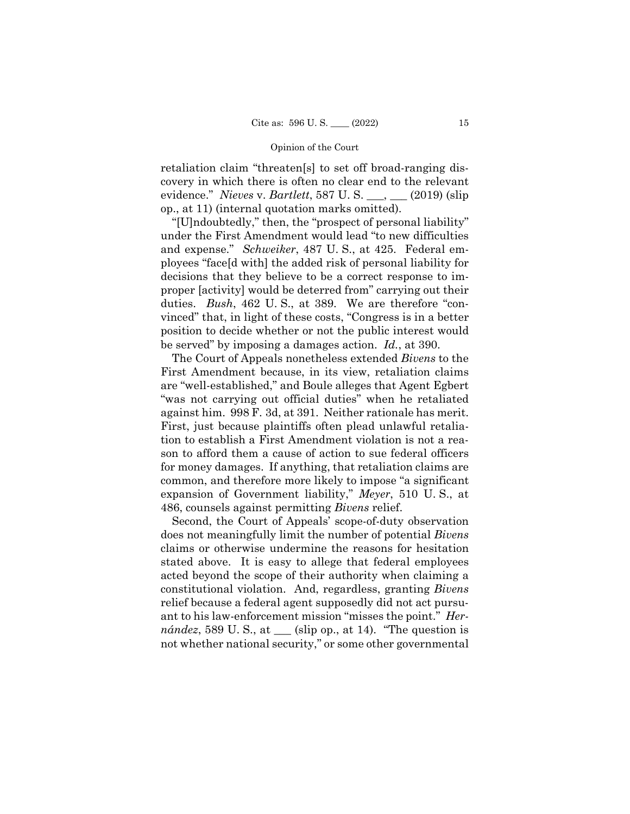retaliation claim "threaten[s] to set off broad-ranging discovery in which there is often no clear end to the relevant evidence." *Nieves* v. *Bartlett*, 587 U. S. \_\_\_, \_\_\_ (2019) (slip op., at 11) (internal quotation marks omitted).

"[U]ndoubtedly," then, the "prospect of personal liability" under the First Amendment would lead "to new difficulties and expense." *Schweiker*, 487 U. S., at 425. Federal employees "face[d with] the added risk of personal liability for decisions that they believe to be a correct response to improper [activity] would be deterred from" carrying out their duties. *Bush*, 462 U. S., at 389. We are therefore "convinced" that, in light of these costs, "Congress is in a better position to decide whether or not the public interest would be served" by imposing a damages action. *Id.*, at 390.

The Court of Appeals nonetheless extended *Bivens* to the First Amendment because, in its view, retaliation claims are "well-established," and Boule alleges that Agent Egbert "was not carrying out official duties" when he retaliated against him. 998 F. 3d, at 391. Neither rationale has merit. First, just because plaintiffs often plead unlawful retaliation to establish a First Amendment violation is not a reason to afford them a cause of action to sue federal officers for money damages. If anything, that retaliation claims are common, and therefore more likely to impose "a significant expansion of Government liability," *Meyer*, 510 U. S., at 486, counsels against permitting *Bivens* relief.

 constitutional violation. And, regardless, granting *Bivens*  Second, the Court of Appeals' scope-of-duty observation does not meaningfully limit the number of potential *Bivens*  claims or otherwise undermine the reasons for hesitation stated above. It is easy to allege that federal employees acted beyond the scope of their authority when claiming a relief because a federal agent supposedly did not act pursuant to his law-enforcement mission "misses the point." *Her* $n\acute{a}ndez$ , 589 U.S., at  $\_\_\_$  (slip op., at 14). "The question is not whether national security," or some other governmental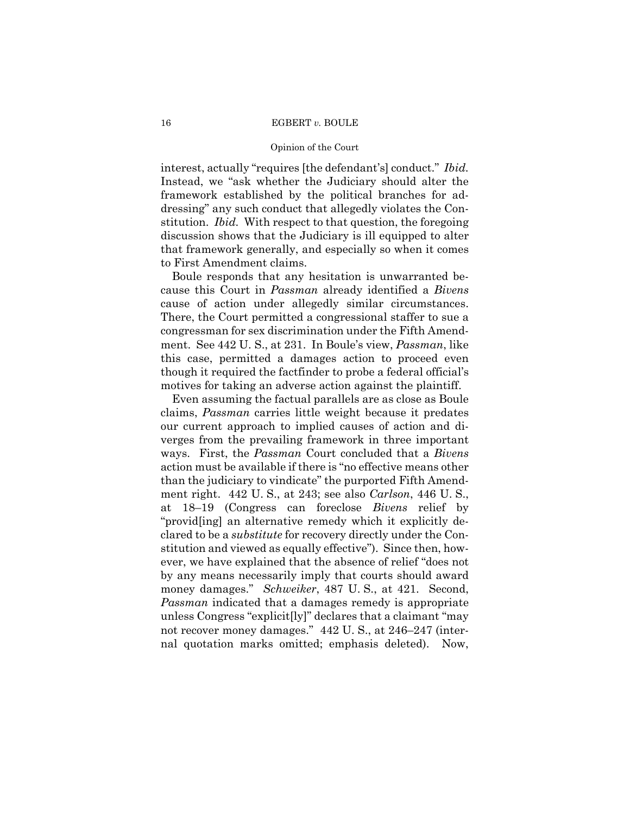#### Opinion of the Court

interest, actually "requires [the defendant's] conduct." *Ibid.* Instead, we "ask whether the Judiciary should alter the framework established by the political branches for addressing" any such conduct that allegedly violates the Constitution. *Ibid.* With respect to that question, the foregoing discussion shows that the Judiciary is ill equipped to alter that framework generally, and especially so when it comes to First Amendment claims.

Boule responds that any hesitation is unwarranted because this Court in *Passman* already identified a *Bivens*  cause of action under allegedly similar circumstances. There, the Court permitted a congressional staffer to sue a congressman for sex discrimination under the Fifth Amendment. See 442 U. S., at 231. In Boule's view, *Passman*, like this case, permitted a damages action to proceed even though it required the factfinder to probe a federal official's motives for taking an adverse action against the plaintiff.

Even assuming the factual parallels are as close as Boule claims, *Passman* carries little weight because it predates our current approach to implied causes of action and diverges from the prevailing framework in three important ways. First, the *Passman* Court concluded that a *Bivens*  action must be available if there is "no effective means other than the judiciary to vindicate" the purported Fifth Amendment right. 442 U. S., at 243; see also *Carlson*, 446 U. S., at 18–19 (Congress can foreclose *Bivens* relief by "provid[ing] an alternative remedy which it explicitly declared to be a *substitute* for recovery directly under the Constitution and viewed as equally effective"). Since then, however, we have explained that the absence of relief "does not by any means necessarily imply that courts should award money damages." *Schweiker*, 487 U.S., at 421. Second, *Passman* indicated that a damages remedy is appropriate unless Congress "explicit[ly]" declares that a claimant "may not recover money damages." 442 U. S., at 246–247 (internal quotation marks omitted; emphasis deleted). Now,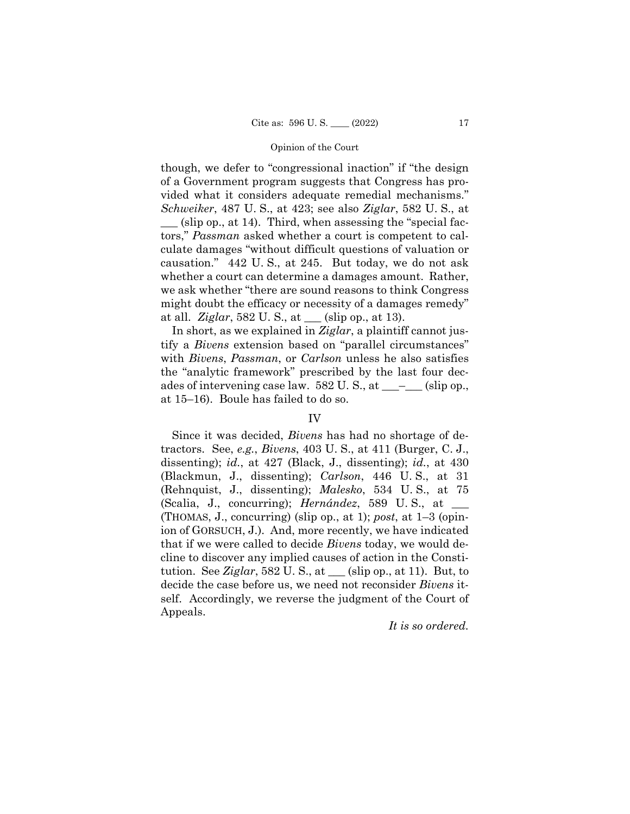though, we defer to "congressional inaction" if "the design of a Government program suggests that Congress has provided what it considers adequate remedial mechanisms." *Schweiker*, 487 U. S., at 423; see also *Ziglar*, 582 U. S., at  $(\text{slip op.}, \text{at } 14)$ . Third, when assessing the "special factors," *Passman* asked whether a court is competent to calculate damages "without difficult questions of valuation or causation." 442 U. S., at 245. But today, we do not ask whether a court can determine a damages amount. Rather, we ask whether "there are sound reasons to think Congress might doubt the efficacy or necessity of a damages remedy" at all. *Ziglar*, 582 U. S., at \_\_\_ (slip op., at 13).

In short, as we explained in *Ziglar*, a plaintiff cannot justify a *Bivens* extension based on "parallel circumstances" with *Bivens*, *Passman*, or *Carlson* unless he also satisfies the "analytic framework" prescribed by the last four decades of intervening case law.  $582 \text{ U.S., at }$  \_\_\_\_\_\_\_\_ (slip op., at 15–16). Boule has failed to do so.

# IV

Since it was decided, *Bivens* has had no shortage of detractors. See, *e.g.*, *Bivens*, 403 U. S., at 411 (Burger, C. J., dissenting); *id.*, at 427 (Black, J., dissenting); *id.*, at 430 (Blackmun, J., dissenting); *Carlson*, 446 U. S., at 31 (Rehnquist, J., dissenting); *Malesko*, 534 U. S., at 75 (Scalia, J., concurring); *Hernández*, 589 U. S., at \_\_\_ (THOMAS, J., concurring) (slip op., at 1); *post*, at 1–3 (opinion of GORSUCH, J.). And, more recently, we have indicated that if we were called to decide *Bivens* today, we would decline to discover any implied causes of action in the Constitution. See *Ziglar*, 582 U. S., at \_\_\_ (slip op., at 11). But, to decide the case before us, we need not reconsider *Bivens* itself. Accordingly, we reverse the judgment of the Court of Appeals.

# *It is so ordered.*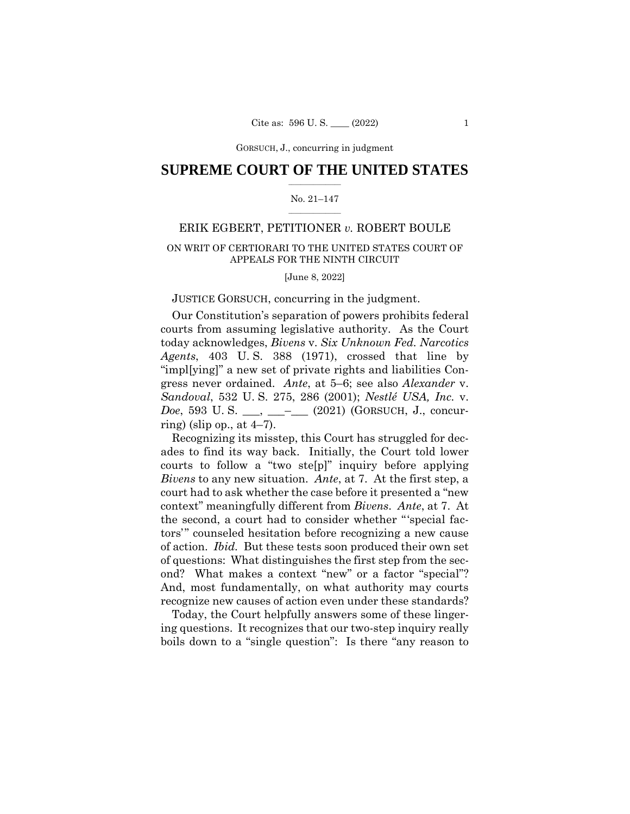GORSUCH, J., concurring GORSUCH, J., concurring in judgment

# $\frac{1}{2}$  ,  $\frac{1}{2}$  ,  $\frac{1}{2}$  ,  $\frac{1}{2}$  ,  $\frac{1}{2}$  ,  $\frac{1}{2}$  ,  $\frac{1}{2}$ **SUPREME COURT OF THE UNITED STATES**

#### $\frac{1}{2}$  ,  $\frac{1}{2}$  ,  $\frac{1}{2}$  ,  $\frac{1}{2}$  ,  $\frac{1}{2}$  ,  $\frac{1}{2}$ No. 21–147

# ERIK EGBERT, PETITIONER *v.* ROBERT BOULE

# ON WRIT OF CERTIORARI TO THE UNITED STATES COURT OF APPEALS FOR THE NINTH CIRCUIT

[June 8, 2022]

## JUSTICE GORSUCH, concurring in the judgment.

Our Constitution's separation of powers prohibits federal courts from assuming legislative authority. As the Court today acknowledges, *Bivens* v. *Six Unknown Fed. Narcotics Agents*, 403 U. S. 388 (1971), crossed that line by "impl[ying]" a new set of private rights and liabilities Congress never ordained. *Ante*, at 5–6; see also *Alexander* v. *Sandoval*, 532 U. S. 275, 286 (2001); *Nestlé USA, Inc.* v. *Doe*, 593 U.S. \_\_, \_\_\_– (2021) (GORSUCH, J., concurring) (slip op., at  $4-7$ ).

Recognizing its misstep, this Court has struggled for decades to find its way back. Initially, the Court told lower courts to follow a "two ste[p]" inquiry before applying *Bivens* to any new situation. *Ante*, at 7. At the first step, a court had to ask whether the case before it presented a "new context" meaningfully different from *Bivens*. *Ante*, at 7. At the second, a court had to consider whether "'special factors'" counseled hesitation before recognizing a new cause of action. *Ibid.* But these tests soon produced their own set of questions: What distinguishes the first step from the second? What makes a context "new" or a factor "special"? And, most fundamentally, on what authority may courts recognize new causes of action even under these standards?

Today, the Court helpfully answers some of these lingering questions. It recognizes that our two-step inquiry really boils down to a "single question": Is there "any reason to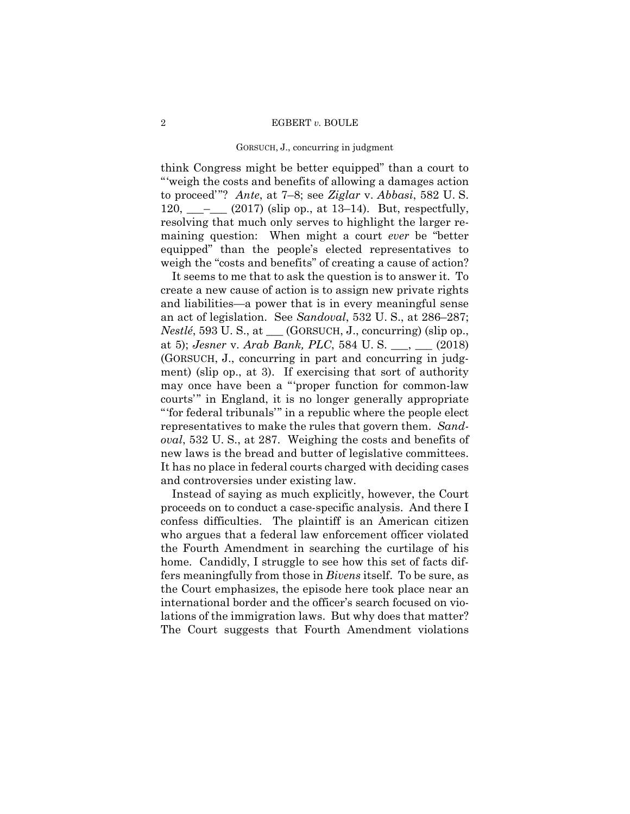#### GORSUCH, J., concurring in judgment

 to proceed'"? *Ante*, at 7–8; see *Ziglar* v. *Abbasi*, 582 U. S. think Congress might be better equipped" than a court to "'weigh the costs and benefits of allowing a damages action 120,  $\_\_$   $\_\_$  (2017) (slip op., at 13–14). But, respectfully, resolving that much only serves to highlight the larger remaining question: When might a court *ever* be "better equipped" than the people's elected representatives to weigh the "costs and benefits" of creating a cause of action?

It seems to me that to ask the question is to answer it. To create a new cause of action is to assign new private rights and liabilities—a power that is in every meaningful sense an act of legislation. See *Sandoval*, 532 U. S., at 286–287; *Nestlé*, 593 U. S., at \_\_\_ (GORSUCH, J., concurring) (slip op., at 5); *Jesner* v. *Arab Bank, PLC*, 584 U. S. \_\_\_, \_\_\_ (2018) (GORSUCH, J., concurring in part and concurring in judgment) (slip op., at 3). If exercising that sort of authority may once have been a "'proper function for common-law courts'" in England, it is no longer generally appropriate "'for federal tribunals'" in a republic where the people elect representatives to make the rules that govern them. *Sandoval*, 532 U. S., at 287. Weighing the costs and benefits of new laws is the bread and butter of legislative committees. It has no place in federal courts charged with deciding cases and controversies under existing law.

 lations of the immigration laws. But why does that matter? Instead of saying as much explicitly, however, the Court proceeds on to conduct a case-specific analysis. And there I confess difficulties. The plaintiff is an American citizen who argues that a federal law enforcement officer violated the Fourth Amendment in searching the curtilage of his home. Candidly, I struggle to see how this set of facts differs meaningfully from those in *Bivens* itself. To be sure, as the Court emphasizes, the episode here took place near an international border and the officer's search focused on vio-The Court suggests that Fourth Amendment violations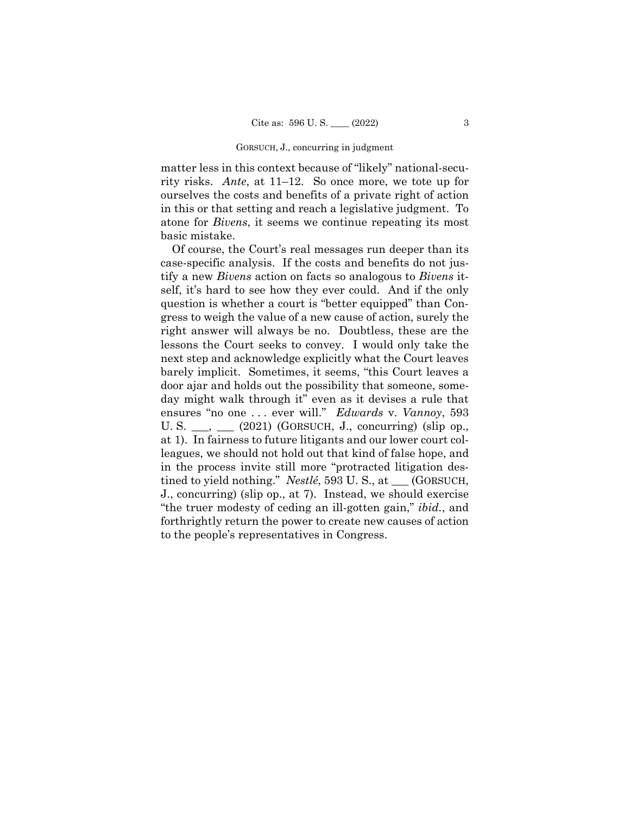#### GORSUCH, J., concurring in judgment

matter less in this context because of "likely" national-security risks. *Ante*, at 11–12. So once more, we tote up for ourselves the costs and benefits of a private right of action in this or that setting and reach a legislative judgment. To atone for *Bivens*, it seems we continue repeating its most basic mistake.

Of course, the Court's real messages run deeper than its case-specific analysis. If the costs and benefits do not justify a new *Bivens* action on facts so analogous to *Bivens* itself, it's hard to see how they ever could. And if the only question is whether a court is "better equipped" than Congress to weigh the value of a new cause of action, surely the right answer will always be no. Doubtless, these are the lessons the Court seeks to convey. I would only take the next step and acknowledge explicitly what the Court leaves barely implicit. Sometimes, it seems, "this Court leaves a door ajar and holds out the possibility that someone, someday might walk through it" even as it devises a rule that ensures "no one . . . ever will." *Edwards* v. *Vannoy*, 593 U. S.  $\_\_\_\_\_\_\_\_\$  (2021) (GORSUCH, J., concurring) (slip op., at 1). In fairness to future litigants and our lower court colleagues, we should not hold out that kind of false hope, and in the process invite still more "protracted litigation destined to yield nothing." *Nestlé*, 593 U. S., at \_\_\_ (GORSUCH, J., concurring) (slip op., at 7). Instead, we should exercise "the truer modesty of ceding an ill-gotten gain," *ibid.*, and forthrightly return the power to create new causes of action to the people's representatives in Congress.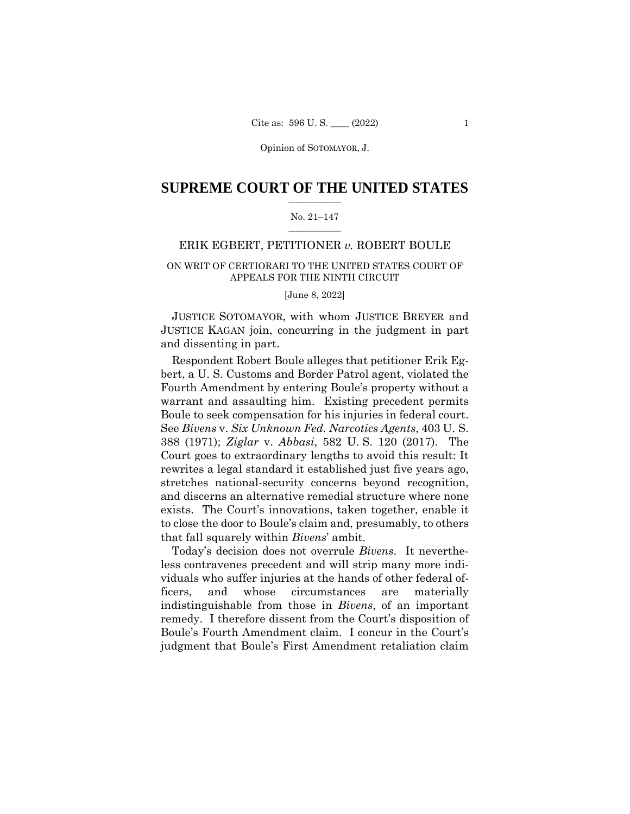### $\frac{1}{2}$  ,  $\frac{1}{2}$  ,  $\frac{1}{2}$  ,  $\frac{1}{2}$  ,  $\frac{1}{2}$  ,  $\frac{1}{2}$  ,  $\frac{1}{2}$ **SUPREME COURT OF THE UNITED STATES**

#### $\frac{1}{2}$  ,  $\frac{1}{2}$  ,  $\frac{1}{2}$  ,  $\frac{1}{2}$  ,  $\frac{1}{2}$  ,  $\frac{1}{2}$ No. 21–147

# ERIK EGBERT, PETITIONER *v.* ROBERT BOULE

# ON WRIT OF CERTIORARI TO THE UNITED STATES COURT OF APPEALS FOR THE NINTH CIRCUIT

[June 8, 2022]

 JUSTICE SOTOMAYOR, with whom JUSTICE BREYER and JUSTICE KAGAN join, concurring in the judgment in part and dissenting in part.

 Boule to seek compensation for his injuries in federal court. Respondent Robert Boule alleges that petitioner Erik Egbert, a U. S. Customs and Border Patrol agent, violated the Fourth Amendment by entering Boule's property without a warrant and assaulting him. Existing precedent permits See *Bivens* v. *Six Unknown Fed. Narcotics Agents*, 403 U. S. 388 (1971); *Ziglar* v. *Abbasi*, 582 U. S. 120 (2017). The Court goes to extraordinary lengths to avoid this result: It rewrites a legal standard it established just five years ago, stretches national-security concerns beyond recognition, and discerns an alternative remedial structure where none exists. The Court's innovations, taken together, enable it to close the door to Boule's claim and, presumably, to others that fall squarely within *Bivens*' ambit.

Today's decision does not overrule *Bivens*. It nevertheless contravenes precedent and will strip many more individuals who suffer injuries at the hands of other federal officers, and whose circumstances are materially indistinguishable from those in *Bivens*, of an important remedy. I therefore dissent from the Court's disposition of Boule's Fourth Amendment claim. I concur in the Court's judgment that Boule's First Amendment retaliation claim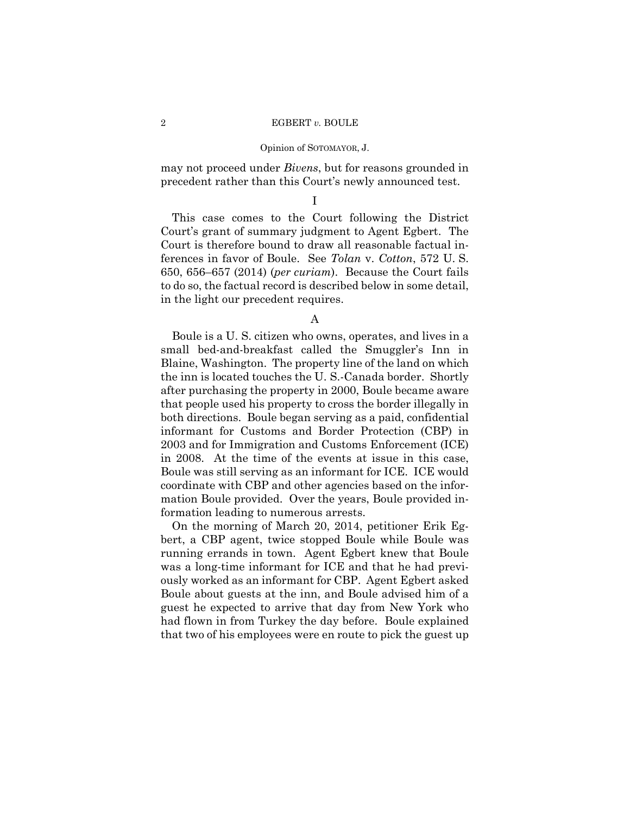may not proceed under *Bivens*, but for reasons grounded in precedent rather than this Court's newly announced test.

I

This case comes to the Court following the District Court's grant of summary judgment to Agent Egbert. The Court is therefore bound to draw all reasonable factual inferences in favor of Boule. See *Tolan* v. *Cotton*, 572 U. S. 650, 656–657 (2014) (*per curiam*). Because the Court fails to do so, the factual record is described below in some detail, in the light our precedent requires.

#### A

Boule is a U. S. citizen who owns, operates, and lives in a small bed-and-breakfast called the Smuggler's Inn in Blaine, Washington. The property line of the land on which the inn is located touches the U. S.-Canada border. Shortly after purchasing the property in 2000, Boule became aware that people used his property to cross the border illegally in both directions. Boule began serving as a paid, confidential informant for Customs and Border Protection (CBP) in 2003 and for Immigration and Customs Enforcement (ICE) in 2008. At the time of the events at issue in this case, Boule was still serving as an informant for ICE. ICE would coordinate with CBP and other agencies based on the information Boule provided. Over the years, Boule provided information leading to numerous arrests.

On the morning of March 20, 2014, petitioner Erik Egbert, a CBP agent, twice stopped Boule while Boule was running errands in town. Agent Egbert knew that Boule was a long-time informant for ICE and that he had previously worked as an informant for CBP. Agent Egbert asked Boule about guests at the inn, and Boule advised him of a guest he expected to arrive that day from New York who had flown in from Turkey the day before. Boule explained that two of his employees were en route to pick the guest up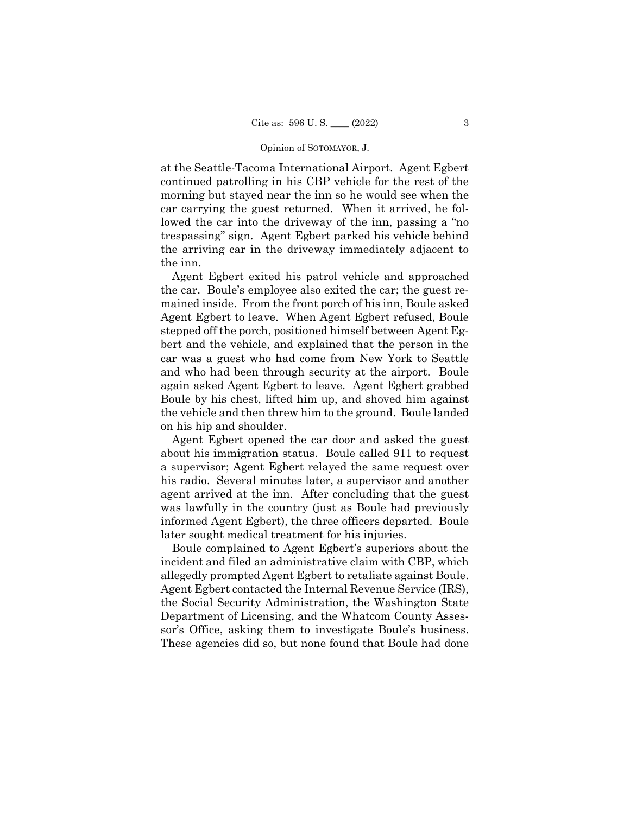at the Seattle-Tacoma International Airport. Agent Egbert continued patrolling in his CBP vehicle for the rest of the morning but stayed near the inn so he would see when the car carrying the guest returned. When it arrived, he followed the car into the driveway of the inn, passing a "no trespassing" sign. Agent Egbert parked his vehicle behind the arriving car in the driveway immediately adjacent to the inn.

Agent Egbert exited his patrol vehicle and approached the car. Boule's employee also exited the car; the guest remained inside. From the front porch of his inn, Boule asked Agent Egbert to leave. When Agent Egbert refused, Boule stepped off the porch, positioned himself between Agent Egbert and the vehicle, and explained that the person in the car was a guest who had come from New York to Seattle and who had been through security at the airport. Boule again asked Agent Egbert to leave. Agent Egbert grabbed Boule by his chest, lifted him up, and shoved him against the vehicle and then threw him to the ground. Boule landed on his hip and shoulder.

Agent Egbert opened the car door and asked the guest about his immigration status. Boule called 911 to request a supervisor; Agent Egbert relayed the same request over his radio. Several minutes later, a supervisor and another agent arrived at the inn. After concluding that the guest was lawfully in the country (just as Boule had previously informed Agent Egbert), the three officers departed. Boule later sought medical treatment for his injuries.

 sor's Office, asking them to investigate Boule's business. Boule complained to Agent Egbert's superiors about the incident and filed an administrative claim with CBP, which allegedly prompted Agent Egbert to retaliate against Boule. Agent Egbert contacted the Internal Revenue Service (IRS), the Social Security Administration, the Washington State Department of Licensing, and the Whatcom County Asses-These agencies did so, but none found that Boule had done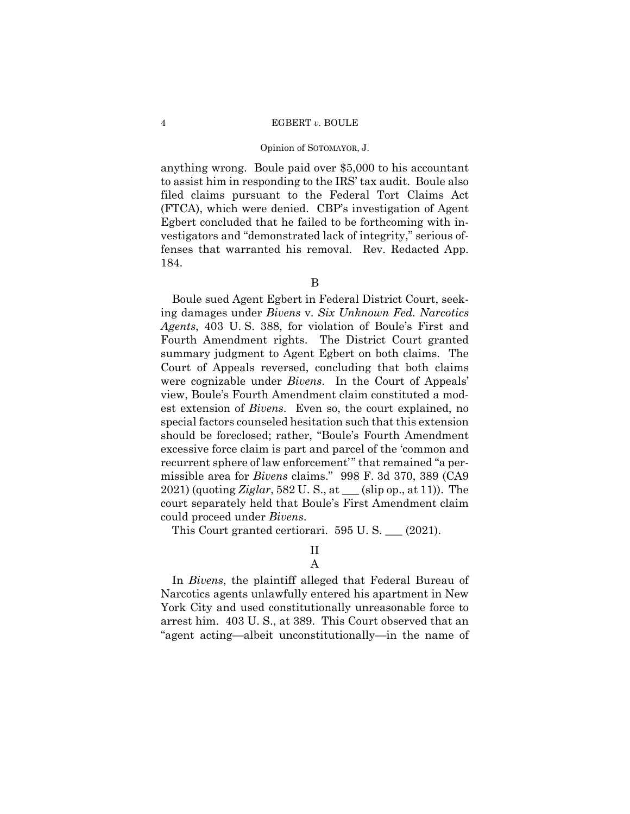anything wrong. Boule paid over \$5,000 to his accountant to assist him in responding to the IRS' tax audit. Boule also filed claims pursuant to the Federal Tort Claims Act (FTCA), which were denied. CBP's investigation of Agent Egbert concluded that he failed to be forthcoming with investigators and "demonstrated lack of integrity," serious offenses that warranted his removal. Rev. Redacted App. 184.

B

Boule sued Agent Egbert in Federal District Court, seeking damages under *Bivens* v. *Six Unknown Fed. Narcotics Agents*, 403 U. S. 388, for violation of Boule's First and Fourth Amendment rights. The District Court granted summary judgment to Agent Egbert on both claims. The Court of Appeals reversed, concluding that both claims were cognizable under *Bivens*. In the Court of Appeals' view, Boule's Fourth Amendment claim constituted a modest extension of *Bivens*. Even so, the court explained, no special factors counseled hesitation such that this extension should be foreclosed; rather, "Boule's Fourth Amendment excessive force claim is part and parcel of the 'common and recurrent sphere of law enforcement'" that remained "a permissible area for *Bivens* claims." 998 F. 3d 370, 389 (CA9 2021) (quoting *Ziglar*, 582 U. S., at \_\_\_ (slip op., at 11)). The court separately held that Boule's First Amendment claim could proceed under *Bivens*.

This Court granted certiorari. 595 U.S. \_\_ (2021).

# II

# A

In *Bivens*, the plaintiff alleged that Federal Bureau of Narcotics agents unlawfully entered his apartment in New York City and used constitutionally unreasonable force to arrest him. 403 U. S., at 389. This Court observed that an "agent acting—albeit unconstitutionally—in the name of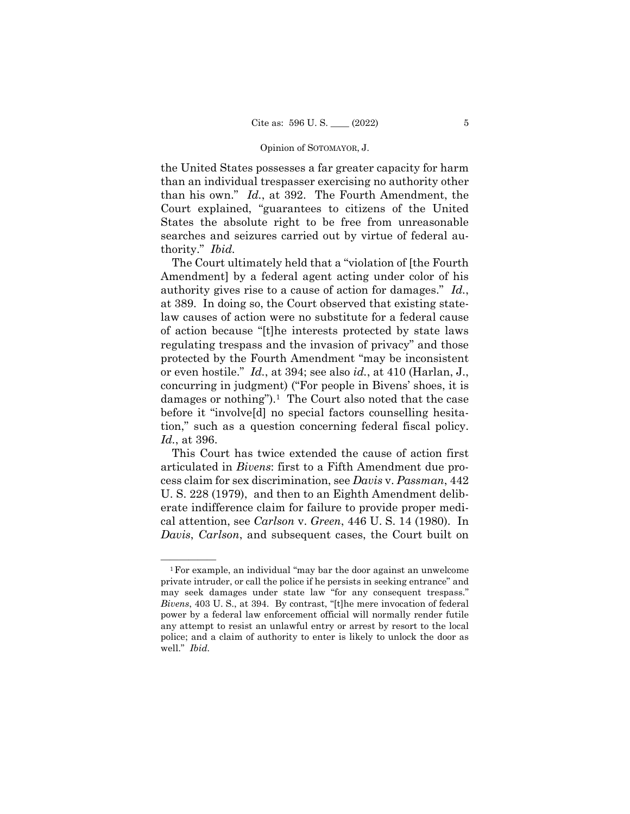the United States possesses a far greater capacity for harm than an individual trespasser exercising no authority other than his own." *Id.*, at 392. The Fourth Amendment, the Court explained, "guarantees to citizens of the United States the absolute right to be free from unreasonable searches and seizures carried out by virtue of federal authority." *Ibid.* 

damages or nothing").<sup>1</sup> The Court also noted that the case The Court ultimately held that a "violation of [the Fourth Amendment] by a federal agent acting under color of his authority gives rise to a cause of action for damages." *Id.*, at 389. In doing so, the Court observed that existing statelaw causes of action were no substitute for a federal cause of action because "[t]he interests protected by state laws regulating trespass and the invasion of privacy" and those protected by the Fourth Amendment "may be inconsistent or even hostile." *Id.*, at 394; see also *id.*, at 410 (Harlan, J., concurring in judgment) ("For people in Bivens' shoes, it is before it "involve[d] no special factors counselling hesitation," such as a question concerning federal fiscal policy. *Id.*, at 396.

This Court has twice extended the cause of action first articulated in *Bivens*: first to a Fifth Amendment due process claim for sex discrimination, see *Davis* v. *Passman*, 442 U. S. 228 (1979), and then to an Eighth Amendment deliberate indifference claim for failure to provide proper medical attention, see *Carlson* v. *Green*, 446 U. S. 14 (1980). In *Davis*, *Carlson*, and subsequent cases, the Court built on

 ${}^{1}$  For example, an individual "may bar the door against an unwelcome private intruder, or call the police if he persists in seeking entrance" and may seek damages under state law "for any consequent trespass." *Bivens*, 403 U. S., at 394. By contrast, "[t]he mere invocation of federal power by a federal law enforcement official will normally render futile any attempt to resist an unlawful entry or arrest by resort to the local police; and a claim of authority to enter is likely to unlock the door as well." *Ibid.*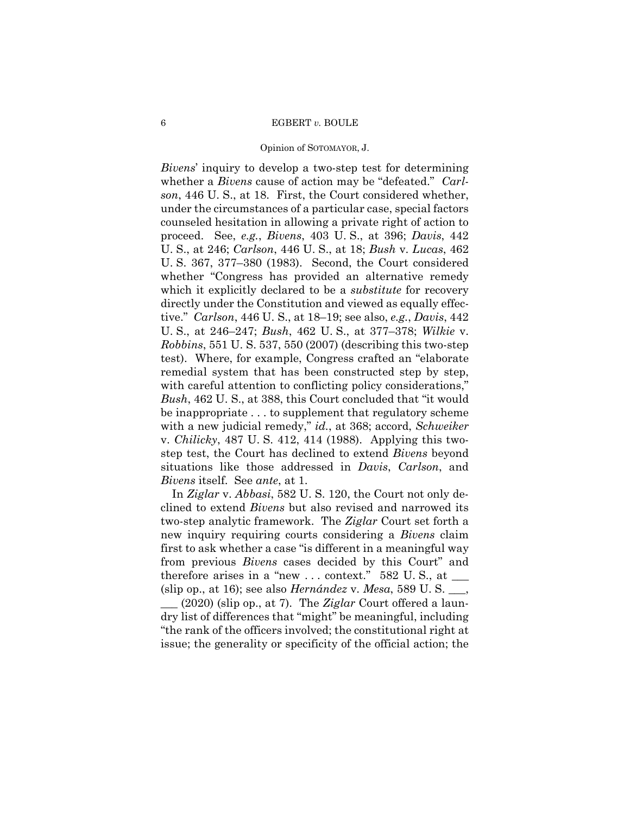#### Opinion of SOTOMAYOR, J.

*Bivens*' inquiry to develop a two-step test for determining whether a *Bivens* cause of action may be "defeated." *Carlson*, 446 U. S., at 18. First, the Court considered whether, under the circumstances of a particular case, special factors counseled hesitation in allowing a private right of action to proceed. See, *e.g.*, *Bivens*, 403 U. S., at 396; *Davis*, 442 U. S., at 246; *Carlson*, 446 U. S., at 18; *Bush* v. *Lucas*, 462 U. S. 367, 377–380 (1983). Second, the Court considered whether "Congress has provided an alternative remedy which it explicitly declared to be a *substitute* for recovery directly under the Constitution and viewed as equally effective." *Carlson*, 446 U. S., at 18–19; see also, *e.g.*, *Davis*, 442 U. S., at 246–247; *Bush*, 462 U. S., at 377–378; *Wilkie* v. *Robbins*, 551 U. S. 537, 550 (2007) (describing this two-step test). Where, for example, Congress crafted an "elaborate remedial system that has been constructed step by step, with careful attention to conflicting policy considerations," *Bush*, 462 U. S., at 388, this Court concluded that "it would be inappropriate . . . to supplement that regulatory scheme with a new judicial remedy," *id.*, at 368; accord, *Schweiker*  v. *Chilicky*, 487 U. S. 412, 414 (1988). Applying this twostep test, the Court has declined to extend *Bivens* beyond situations like those addressed in *Davis*, *Carlson*, and *Bivens* itself. See *ante*, at 1.

In *Ziglar* v. *Abbasi*, 582 U. S. 120, the Court not only declined to extend *Bivens* but also revised and narrowed its two-step analytic framework. The *Ziglar* Court set forth a new inquiry requiring courts considering a *Bivens* claim first to ask whether a case "is different in a meaningful way from previous *Bivens* cases decided by this Court" and therefore arises in a "new  $\dots$  context." 582 U.S., at  $\_\_$ (slip op., at 16); see also *Hernández* v. *Mesa*, 589 U. S. \_\_\_, \_\_\_ (2020) (slip op., at 7). The *Ziglar* Court offered a laundry list of differences that "might" be meaningful, including "the rank of the officers involved; the constitutional right at issue; the generality or specificity of the official action; the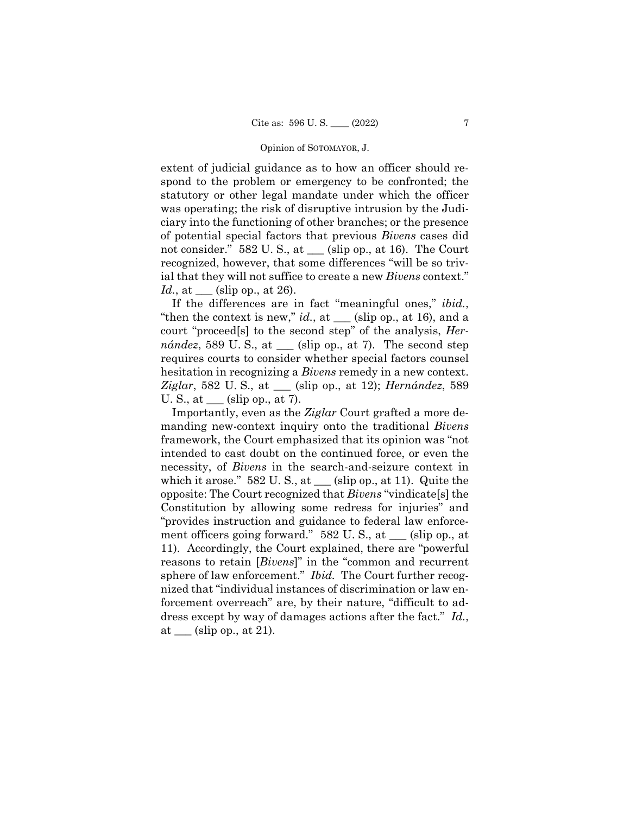extent of judicial guidance as to how an officer should respond to the problem or emergency to be confronted; the statutory or other legal mandate under which the officer was operating; the risk of disruptive intrusion by the Judiciary into the functioning of other branches; or the presence of potential special factors that previous *Bivens* cases did not consider." 582 U.S., at  $\_\_$  (slip op., at 16). The Court recognized, however, that some differences "will be so trivial that they will not suffice to create a new *Bivens* context." *Id.*, at <u>celse</u> (slip op., at 26).

If the differences are in fact "meaningful ones," *ibid.*, "then the context is new,"  $id.$ , at  $\_\_\_$ (slip op., at 16), and a court "proceed[s] to the second step" of the analysis, *Hernández*, 589 U.S., at  $\equiv$  (slip op., at 7). The second step requires courts to consider whether special factors counsel hesitation in recognizing a *Bivens* remedy in a new context. *Ziglar*, 582 U. S., at \_\_\_ (slip op., at 12); *Hernández*, 589 U. S., at  $\_\_\_$  (slip op., at 7).

 sphere of law enforcement." *Ibid.* The Court further recog-Importantly, even as the *Ziglar* Court grafted a more demanding new-context inquiry onto the traditional *Bivens*  framework, the Court emphasized that its opinion was "not intended to cast doubt on the continued force, or even the necessity, of *Bivens* in the search-and-seizure context in which it arose."  $582 \text{ U}$ . S., at \_\_\_ (slip op., at 11). Quite the opposite: The Court recognized that *Bivens* "vindicate[s] the Constitution by allowing some redress for injuries" and "provides instruction and guidance to federal law enforcement officers going forward." 582 U. S., at \_\_\_ (slip op., at 11). Accordingly, the Court explained, there are "powerful reasons to retain [*Bivens*]" in the "common and recurrent nized that "individual instances of discrimination or law enforcement overreach" are, by their nature, "difficult to address except by way of damages actions after the fact." *Id.*, at  $\_\_\$  (slip op., at 21).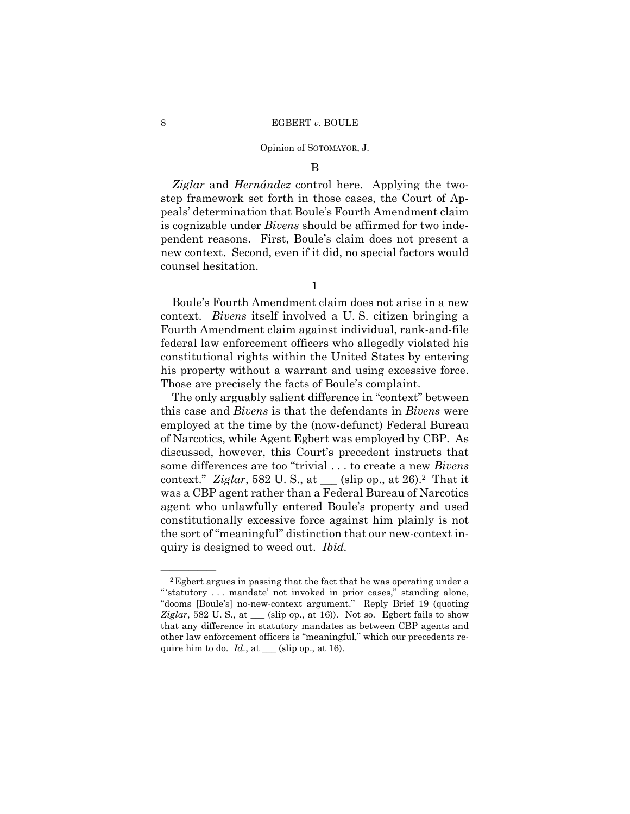B

*Ziglar* and *Hernández* control here. Applying the twostep framework set forth in those cases, the Court of Appeals' determination that Boule's Fourth Amendment claim is cognizable under *Bivens* should be affirmed for two independent reasons. First, Boule's claim does not present a new context. Second, even if it did, no special factors would counsel hesitation.

1

Boule's Fourth Amendment claim does not arise in a new context. *Bivens* itself involved a U. S. citizen bringing a Fourth Amendment claim against individual, rank-and-file federal law enforcement officers who allegedly violated his constitutional rights within the United States by entering his property without a warrant and using excessive force. Those are precisely the facts of Boule's complaint.

The only arguably salient difference in "context" between this case and *Bivens* is that the defendants in *Bivens* were employed at the time by the (now-defunct) Federal Bureau of Narcotics, while Agent Egbert was employed by CBP. As discussed, however, this Court's precedent instructs that some differences are too "trivial . . . to create a new *Bivens*  context." *Ziglar*, 582 U. S., at \_\_\_ (slip op., at 26).2 That it was a CBP agent rather than a Federal Bureau of Narcotics agent who unlawfully entered Boule's property and used constitutionally excessive force against him plainly is not the sort of "meaningful" distinction that our new-context inquiry is designed to weed out. *Ibid.* 

 " 'statutory . . . mandate' not invoked in prior cases," standing alone, <sup>2</sup> Egbert argues in passing that the fact that he was operating under a "dooms [Boule's] no-new-context argument." Reply Brief 19 (quoting *Ziglar*, 582 U. S., at \_\_\_ (slip op., at 16)). Not so. Egbert fails to show that any difference in statutory mandates as between CBP agents and other law enforcement officers is "meaningful," which our precedents require him to do.  $Id.$ , at  $\_\_\_\$ (slip op., at 16).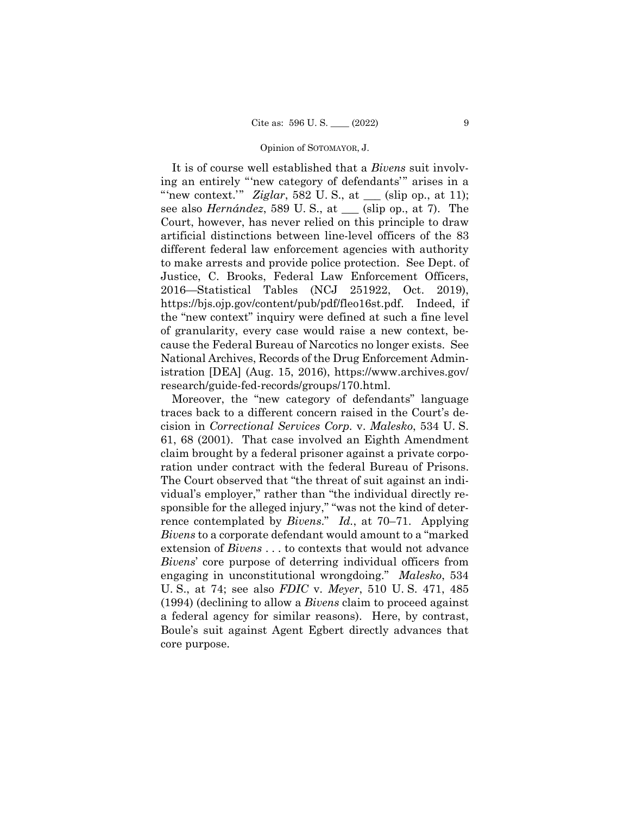It is of course well established that a *Bivens* suit involving an entirely "'new category of defendants'" arises in a "'new context." *Ziglar*, 582 U.S., at \_\_\_ (slip op., at 11); see also *Hernández*, 589 U. S., at \_\_\_ (slip op., at 7). The Court, however, has never relied on this principle to draw artificial distinctions between line-level officers of the 83 different federal law enforcement agencies with authority to make arrests and provide police protection. See Dept. of Justice, C. Brooks, Federal Law Enforcement Officers, 2016—Statistical Tables (NCJ 251922, Oct. 2019), https://bjs.ojp.gov/content/pub/pdf/fleo16st.pdf. Indeed, if the "new context" inquiry were defined at such a fine level of granularity, every case would raise a new context, because the Federal Bureau of Narcotics no longer exists. See National Archives, Records of the Drug Enforcement Administration [DEA] (Aug. 15, 2016), https://www.archives.gov/ research/guide-fed-records/groups/170.html.

Moreover, the "new category of defendants" language traces back to a different concern raised in the Court's decision in *Correctional Services Corp.* v. *Malesko*, 534 U. S. 61, 68 (2001). That case involved an Eighth Amendment claim brought by a federal prisoner against a private corporation under contract with the federal Bureau of Prisons. The Court observed that "the threat of suit against an individual's employer," rather than "the individual directly responsible for the alleged injury," "was not the kind of deterrence contemplated by *Bivens*." *Id.*, at 70–71. Applying *Bivens* to a corporate defendant would amount to a "marked extension of *Bivens* . . . to contexts that would not advance *Bivens*' core purpose of deterring individual officers from engaging in unconstitutional wrongdoing." *Malesko*, 534 U. S., at 74; see also *FDIC* v. *Meyer*, 510 U. S. 471, 485 (1994) (declining to allow a *Bivens* claim to proceed against a federal agency for similar reasons). Here, by contrast, Boule's suit against Agent Egbert directly advances that core purpose.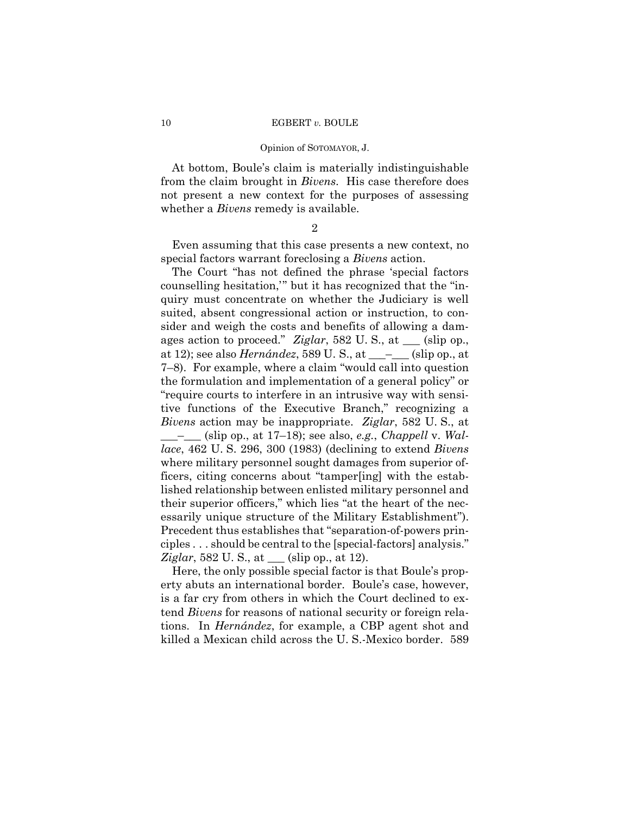#### Opinion of SOTOMAYOR, J.

At bottom, Boule's claim is materially indistinguishable from the claim brought in *Bivens*. His case therefore does not present a new context for the purposes of assessing whether a *Bivens* remedy is available.

#### $\mathfrak{D}$

Even assuming that this case presents a new context, no special factors warrant foreclosing a *Bivens* action.

The Court "has not defined the phrase 'special factors counselling hesitation,'" but it has recognized that the "inquiry must concentrate on whether the Judiciary is well suited, absent congressional action or instruction, to consider and weigh the costs and benefits of allowing a damages action to proceed." *Ziglar*, 582 U. S., at \_\_\_ (slip op., at 12); see also *Hernández*, 589 U. S., at \_\_\_–\_\_\_ (slip op., at 7–8). For example, where a claim "would call into question the formulation and implementation of a general policy" or "require courts to interfere in an intrusive way with sensitive functions of the Executive Branch," recognizing a *Bivens* action may be inappropriate. *Ziglar*, 582 U. S., at \_\_\_–\_\_\_ (slip op., at 17–18); see also, *e.g.*, *Chappell* v. *Wallace*, 462 U. S. 296, 300 (1983) (declining to extend *Bivens*  where military personnel sought damages from superior officers, citing concerns about "tamper[ing] with the established relationship between enlisted military personnel and their superior officers," which lies "at the heart of the necessarily unique structure of the Military Establishment"). Precedent thus establishes that "separation-of-powers principles . . . should be central to the [special-factors] analysis." *Ziglar*, 582 U. S., at \_\_\_ (slip op., at 12).

Here, the only possible special factor is that Boule's property abuts an international border. Boule's case, however, is a far cry from others in which the Court declined to extend *Bivens* for reasons of national security or foreign relations. In *Hernández*, for example, a CBP agent shot and killed a Mexican child across the U. S.-Mexico border. 589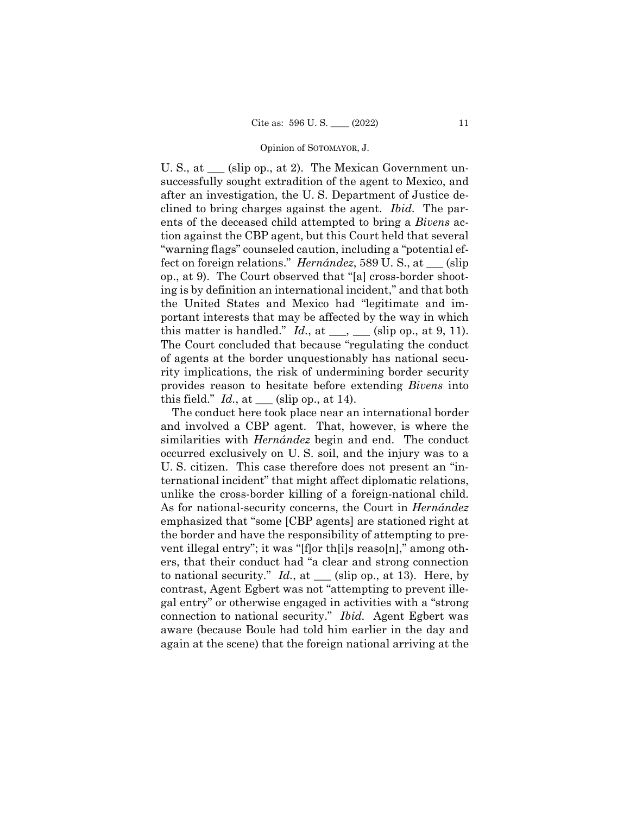U. S., at  $\equiv$  (slip op., at 2). The Mexican Government unsuccessfully sought extradition of the agent to Mexico, and after an investigation, the U. S. Department of Justice declined to bring charges against the agent. *Ibid.* The parents of the deceased child attempted to bring a *Bivens* action against the CBP agent, but this Court held that several "warning flags" counseled caution, including a "potential effect on foreign relations." *Hernández*, 589 U. S., at \_\_\_ (slip op., at 9). The Court observed that "[a] cross-border shooting is by definition an international incident," and that both the United States and Mexico had "legitimate and important interests that may be affected by the way in which this matter is handled."  $Id.$ , at  $\underline{\hspace{1cm}}$ ,  $\underline{\hspace{1cm}}$  (slip op., at 9, 11). The Court concluded that because "regulating the conduct of agents at the border unquestionably has national security implications, the risk of undermining border security provides reason to hesitate before extending *Bivens* into this field."  $Id.$ , at  $\_\_\_\$ (slip op., at 14).

The conduct here took place near an international border and involved a CBP agent. That, however, is where the similarities with *Hernández* begin and end. The conduct occurred exclusively on U. S. soil, and the injury was to a U. S. citizen. This case therefore does not present an "international incident" that might affect diplomatic relations, unlike the cross-border killing of a foreign-national child. As for national-security concerns, the Court in *Hernández*  emphasized that "some [CBP agents] are stationed right at the border and have the responsibility of attempting to prevent illegal entry"; it was "[f]or th[i]s reaso[n]," among others, that their conduct had "a clear and strong connection to national security."  $Id.$ , at  $\_\_\_$  (slip op., at 13). Here, by contrast, Agent Egbert was not "attempting to prevent illegal entry" or otherwise engaged in activities with a "strong connection to national security." *Ibid.* Agent Egbert was aware (because Boule had told him earlier in the day and again at the scene) that the foreign national arriving at the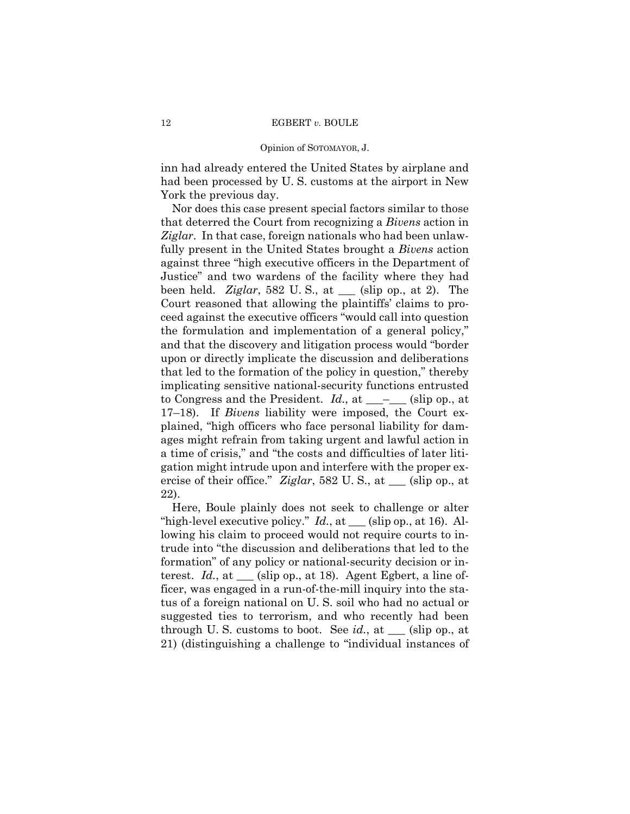inn had already entered the United States by airplane and had been processed by U. S. customs at the airport in New York the previous day.

Nor does this case present special factors similar to those that deterred the Court from recognizing a *Bivens* action in *Ziglar*. In that case, foreign nationals who had been unlawfully present in the United States brought a *Bivens* action against three "high executive officers in the Department of Justice" and two wardens of the facility where they had been held. *Ziglar*, 582 U. S., at \_\_\_ (slip op., at 2). The Court reasoned that allowing the plaintiffs' claims to proceed against the executive officers "would call into question the formulation and implementation of a general policy," and that the discovery and litigation process would "border upon or directly implicate the discussion and deliberations that led to the formation of the policy in question," thereby implicating sensitive national-security functions entrusted to Congress and the President. *Id.*, at <sub>\_\_\_</sub>\_\_\_\_ (slip op., at 17–18). If *Bivens* liability were imposed, the Court explained, "high officers who face personal liability for damages might refrain from taking urgent and lawful action in a time of crisis," and "the costs and difficulties of later litigation might intrude upon and interfere with the proper exercise of their office." *Ziglar*, 582 U. S., at \_\_\_ (slip op., at 22).

Here, Boule plainly does not seek to challenge or alter "high-level executive policy." *Id.*, at <u>section</u> (slip op., at 16). Allowing his claim to proceed would not require courts to intrude into "the discussion and deliberations that led to the formation" of any policy or national-security decision or interest. *Id.*, at \_\_\_ (slip op., at 18). Agent Egbert, a line officer, was engaged in a run-of-the-mill inquiry into the status of a foreign national on U. S. soil who had no actual or suggested ties to terrorism, and who recently had been through U. S. customs to boot. See *id.*, at \_\_\_ (slip op., at 21) (distinguishing a challenge to "individual instances of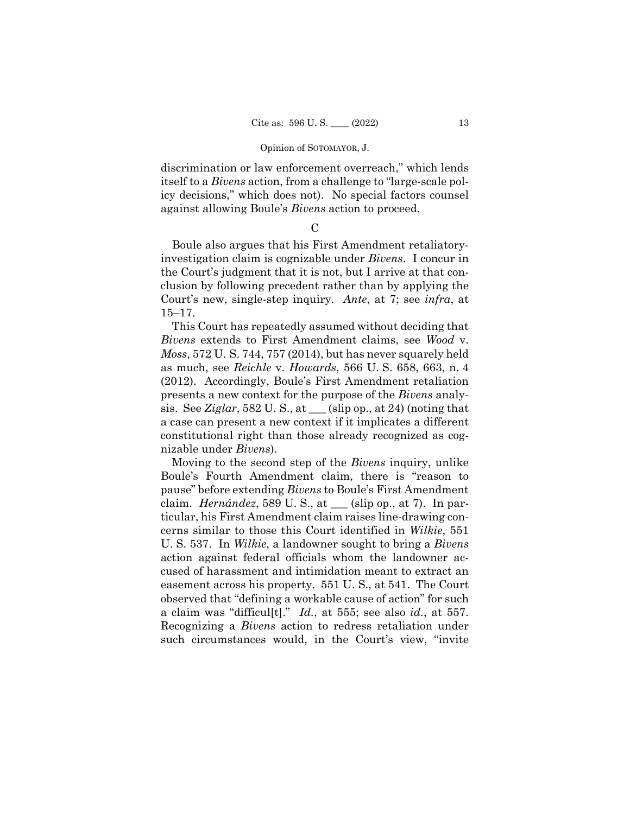discrimination or law enforcement overreach," which lends itself to a *Bivens* action, from a challenge to "large-scale policy decisions," which does not). No special factors counsel against allowing Boule's *Bivens* action to proceed.

 $\mathcal{C}$ 

Boule also argues that his First Amendment retaliatoryinvestigation claim is cognizable under *Bivens*. I concur in the Court's judgment that it is not, but I arrive at that conclusion by following precedent rather than by applying the Court's new, single-step inquiry. *Ante*, at 7; see *infra*, at 15–17.

This Court has repeatedly assumed without deciding that *Bivens* extends to First Amendment claims, see *Wood* v. *Moss*, 572 U. S. 744, 757 (2014), but has never squarely held as much, see *Reichle* v. *Howards*, 566 U. S. 658, 663, n. 4 (2012). Accordingly, Boule's First Amendment retaliation presents a new context for the purpose of the *Bivens* analysis. See *Ziglar*, 582 U.S., at  $\_\_$  (slip op., at 24) (noting that a case can present a new context if it implicates a different constitutional right than those already recognized as cognizable under *Bivens*).

Moving to the second step of the *Bivens* inquiry, unlike Boule's Fourth Amendment claim, there is "reason to pause" before extending *Bivens* to Boule's First Amendment claim. *Hernández*, 589 U. S., at \_\_\_ (slip op., at 7). In particular, his First Amendment claim raises line-drawing concerns similar to those this Court identified in *Wilkie*, 551 U. S. 537. In *Wilkie*, a landowner sought to bring a *Bivens*  action against federal officials whom the landowner accused of harassment and intimidation meant to extract an easement across his property. 551 U. S., at 541. The Court observed that "defining a workable cause of action" for such a claim was "difficul[t]." *Id.*, at 555; see also *id.*, at 557. Recognizing a *Bivens* action to redress retaliation under such circumstances would, in the Court's view, "invite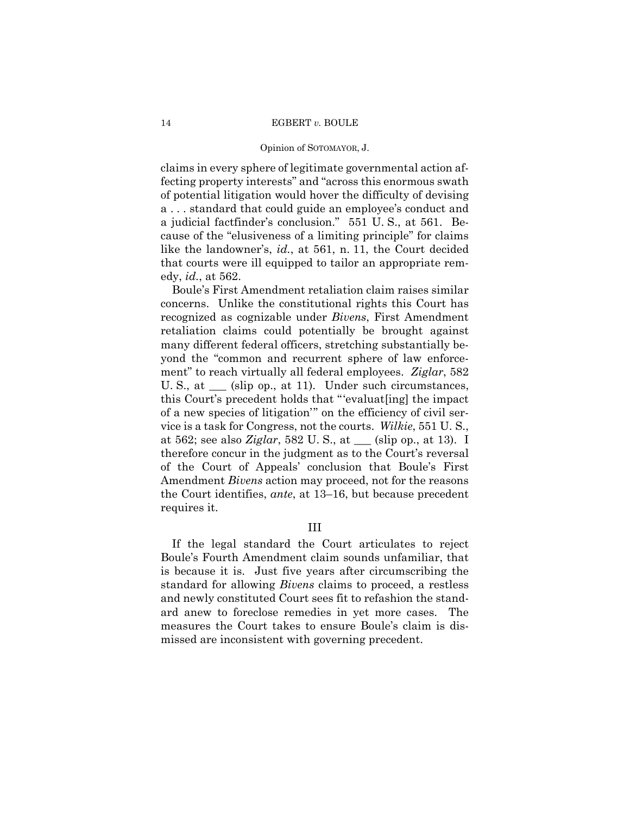claims in every sphere of legitimate governmental action affecting property interests" and "across this enormous swath of potential litigation would hover the difficulty of devising a . . . standard that could guide an employee's conduct and a judicial factfinder's conclusion." 551 U. S., at 561. Because of the "elusiveness of a limiting principle" for claims like the landowner's, *id.*, at 561, n. 11, the Court decided that courts were ill equipped to tailor an appropriate remedy, *id.*, at 562.

 ment" to reach virtually all federal employees. *Ziglar*, 582 Boule's First Amendment retaliation claim raises similar concerns. Unlike the constitutional rights this Court has recognized as cognizable under *Bivens*, First Amendment retaliation claims could potentially be brought against many different federal officers, stretching substantially beyond the "common and recurrent sphere of law enforce-U. S., at  $\Box$  (slip op., at 11). Under such circumstances, this Court's precedent holds that "'evaluat[ing] the impact of a new species of litigation'" on the efficiency of civil service is a task for Congress, not the courts. *Wilkie*, 551 U. S., at 562; see also *Ziglar*, 582 U. S., at \_\_\_ (slip op., at 13). I therefore concur in the judgment as to the Court's reversal of the Court of Appeals' conclusion that Boule's First Amendment *Bivens* action may proceed, not for the reasons the Court identifies, *ante*, at 13–16, but because precedent requires it.

III

If the legal standard the Court articulates to reject Boule's Fourth Amendment claim sounds unfamiliar, that is because it is. Just five years after circumscribing the standard for allowing *Bivens* claims to proceed, a restless and newly constituted Court sees fit to refashion the standard anew to foreclose remedies in yet more cases. The measures the Court takes to ensure Boule's claim is dismissed are inconsistent with governing precedent.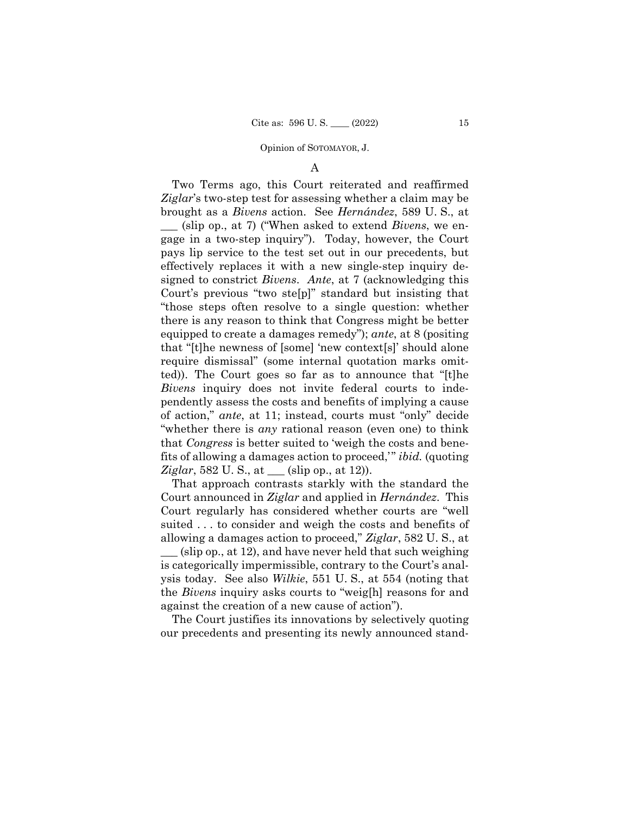### A

 ted)). The Court goes so far as to announce that "[t]he Two Terms ago, this Court reiterated and reaffirmed *Ziglar*'s two-step test for assessing whether a claim may be brought as a *Bivens* action. See *Hernández*, 589 U. S., at \_\_\_ (slip op., at 7) ("When asked to extend *Bivens*, we engage in a two-step inquiry"). Today, however, the Court pays lip service to the test set out in our precedents, but effectively replaces it with a new single-step inquiry designed to constrict *Bivens*. *Ante*, at 7 (acknowledging this Court's previous "two ste[p]" standard but insisting that "those steps often resolve to a single question: whether there is any reason to think that Congress might be better equipped to create a damages remedy"); *ante*, at 8 (positing that "[t]he newness of [some] 'new context[s]' should alone require dismissal" (some internal quotation marks omit-*Bivens* inquiry does not invite federal courts to independently assess the costs and benefits of implying a cause of action," *ante*, at 11; instead, courts must "only" decide "whether there is *any* rational reason (even one) to think that *Congress* is better suited to 'weigh the costs and benefits of allowing a damages action to proceed,'" *ibid.* (quoting *Ziglar*, 582 U. S., at  $\_\_$  (slip op., at 12)).

That approach contrasts starkly with the standard the Court announced in *Ziglar* and applied in *Hernández*. This Court regularly has considered whether courts are "well suited . . . to consider and weigh the costs and benefits of allowing a damages action to proceed," *Ziglar*, 582 U. S., at \_\_\_ (slip op., at 12), and have never held that such weighing is categorically impermissible, contrary to the Court's analysis today. See also *Wilkie*, 551 U. S., at 554 (noting that the *Bivens* inquiry asks courts to "weig[h] reasons for and against the creation of a new cause of action").

The Court justifies its innovations by selectively quoting our precedents and presenting its newly announced stand-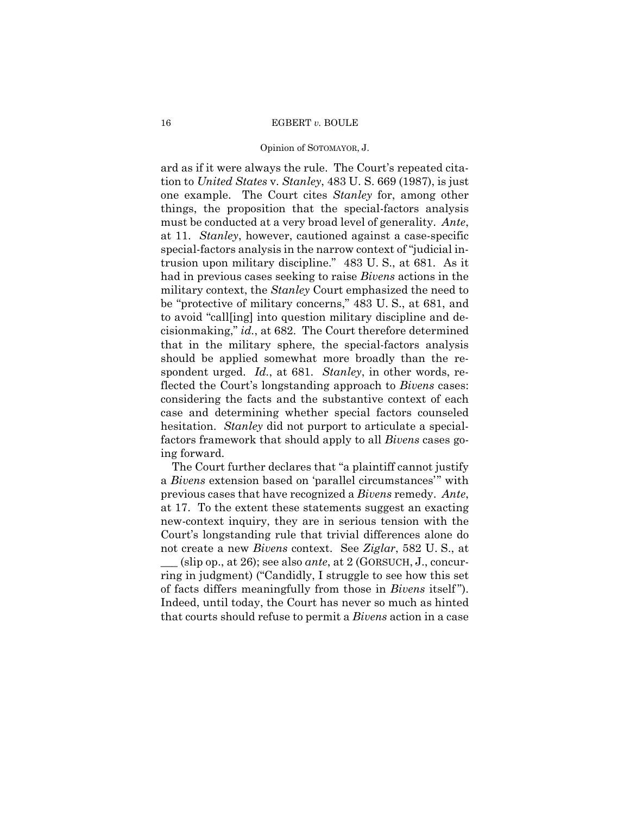#### Opinion of SOTOMAYOR, J.

ard as if it were always the rule. The Court's repeated citation to *United States* v. *Stanley*, 483 U. S. 669 (1987), is just one example. The Court cites *Stanley* for, among other things, the proposition that the special-factors analysis must be conducted at a very broad level of generality. *Ante*, at 11. *Stanley*, however, cautioned against a case-specific special-factors analysis in the narrow context of "judicial intrusion upon military discipline." 483 U. S., at 681. As it had in previous cases seeking to raise *Bivens* actions in the military context, the *Stanley* Court emphasized the need to be "protective of military concerns," 483 U. S., at 681, and to avoid "call[ing] into question military discipline and decisionmaking," *id.*, at 682. The Court therefore determined that in the military sphere, the special-factors analysis should be applied somewhat more broadly than the respondent urged. *Id.*, at 681. *Stanley*, in other words, reflected the Court's longstanding approach to *Bivens* cases: considering the facts and the substantive context of each case and determining whether special factors counseled hesitation. *Stanley* did not purport to articulate a specialfactors framework that should apply to all *Bivens* cases going forward.

The Court further declares that "a plaintiff cannot justify a *Bivens* extension based on 'parallel circumstances'" with previous cases that have recognized a *Bivens* remedy. *Ante*, at 17. To the extent these statements suggest an exacting new-context inquiry, they are in serious tension with the Court's longstanding rule that trivial differences alone do not create a new *Bivens* context. See *Ziglar*, 582 U. S., at \_\_\_ (slip op., at 26); see also *ante*, at 2 (GORSUCH, J., concurring in judgment) ("Candidly, I struggle to see how this set of facts differs meaningfully from those in *Bivens* itself "). Indeed, until today, the Court has never so much as hinted that courts should refuse to permit a *Bivens* action in a case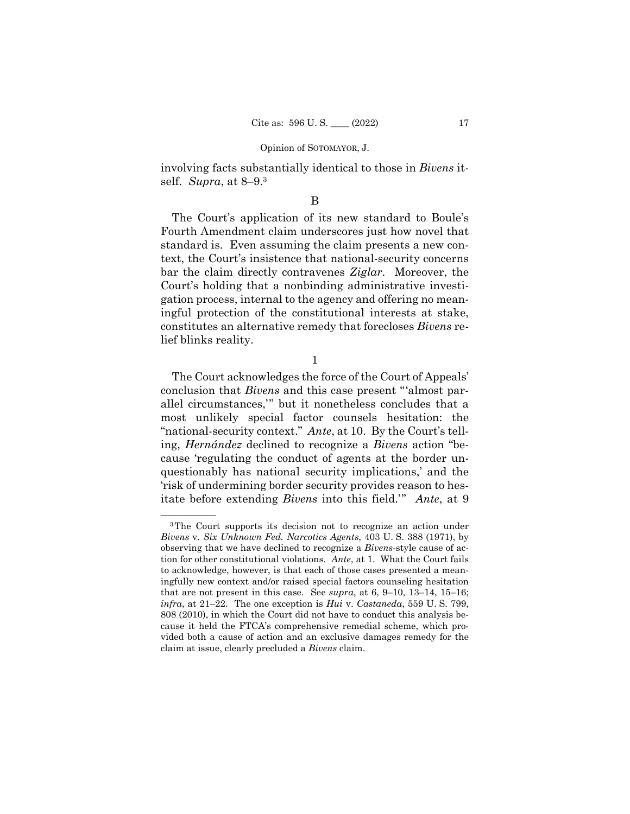involving facts substantially identical to those in *Bivens* itself. *Supra*, at 8–9.3

## B

The Court's application of its new standard to Boule's Fourth Amendment claim underscores just how novel that standard is. Even assuming the claim presents a new context, the Court's insistence that national-security concerns bar the claim directly contravenes *Ziglar*. Moreover, the Court's holding that a nonbinding administrative investigation process, internal to the agency and offering no meaningful protection of the constitutional interests at stake, constitutes an alternative remedy that forecloses *Bivens* relief blinks reality.

1

The Court acknowledges the force of the Court of Appeals' conclusion that *Bivens* and this case present "'almost parallel circumstances,'" but it nonetheless concludes that a most unlikely special factor counsels hesitation: the "national-security context." *Ante*, at 10. By the Court's telling, *Hernández* declined to recognize a *Bivens* action "because 'regulating the conduct of agents at the border unquestionably has national security implications,' and the 'risk of undermining border security provides reason to hesitate before extending *Bivens* into this field.'" *Ante*, at 9

<sup>&</sup>lt;sup>3</sup>The Court supports its decision not to recognize an action under *Bivens* v. *Six Unknown Fed. Narcotics Agents*, 403 U. S. 388 (1971), by observing that we have declined to recognize a *Bivens*-style cause of action for other constitutional violations. *Ante*, at 1. What the Court fails to acknowledge, however, is that each of those cases presented a meaningfully new context and/or raised special factors counseling hesitation that are not present in this case. See *supra*, at 6, 9–10, 13–14, 15–16; *infra*, at 21–22. The one exception is *Hui* v. *Castaneda*, 559 U. S. 799, 808 (2010), in which the Court did not have to conduct this analysis because it held the FTCA's comprehensive remedial scheme, which provided both a cause of action and an exclusive damages remedy for the claim at issue, clearly precluded a *Bivens* claim.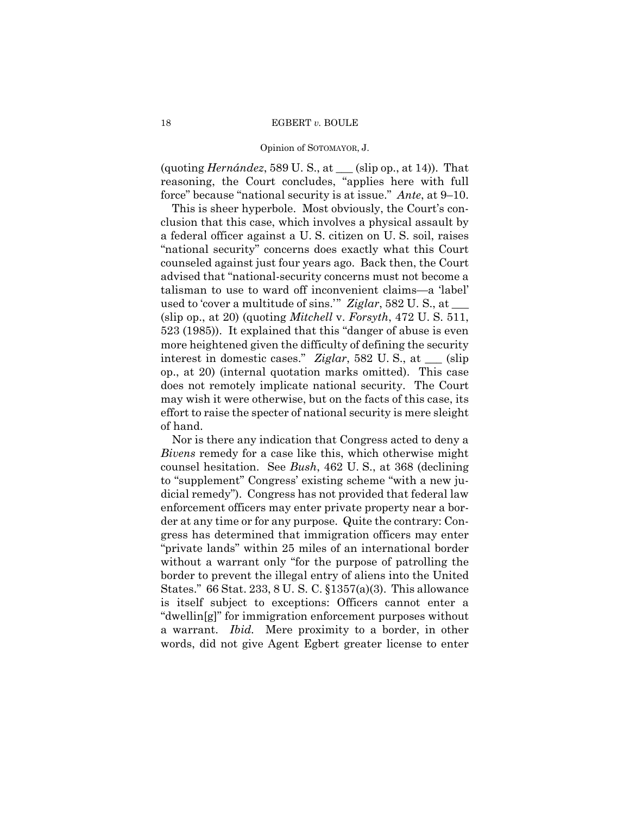(quoting *Hernández*, 589 U. S., at \_\_\_ (slip op., at 14)). That reasoning, the Court concludes, "applies here with full force" because "national security is at issue." *Ante*, at 9–10.

This is sheer hyperbole. Most obviously, the Court's conclusion that this case, which involves a physical assault by a federal officer against a U. S. citizen on U. S. soil, raises "national security" concerns does exactly what this Court counseled against just four years ago. Back then, the Court advised that "national-security concerns must not become a talisman to use to ward off inconvenient claims—a 'label' used to 'cover a multitude of sins.'" *Ziglar*, 582 U. S., at \_\_\_ (slip op., at 20) (quoting *Mitchell* v. *Forsyth*, 472 U. S. 511, 523 (1985)). It explained that this "danger of abuse is even more heightened given the difficulty of defining the security interest in domestic cases." *Ziglar*, 582 U. S., at \_\_\_ (slip op., at 20) (internal quotation marks omitted). This case does not remotely implicate national security. The Court may wish it were otherwise, but on the facts of this case, its effort to raise the specter of national security is mere sleight of hand.

 a warrant. *Ibid.* Mere proximity to a border, in other Nor is there any indication that Congress acted to deny a *Bivens* remedy for a case like this, which otherwise might counsel hesitation. See *Bush*, 462 U. S., at 368 (declining to "supplement" Congress' existing scheme "with a new judicial remedy"). Congress has not provided that federal law enforcement officers may enter private property near a border at any time or for any purpose. Quite the contrary: Congress has determined that immigration officers may enter "private lands" within 25 miles of an international border without a warrant only "for the purpose of patrolling the border to prevent the illegal entry of aliens into the United States." 66 Stat. 233, 8 U. S. C. §1357(a)(3). This allowance is itself subject to exceptions: Officers cannot enter a "dwellin[g]" for immigration enforcement purposes without words, did not give Agent Egbert greater license to enter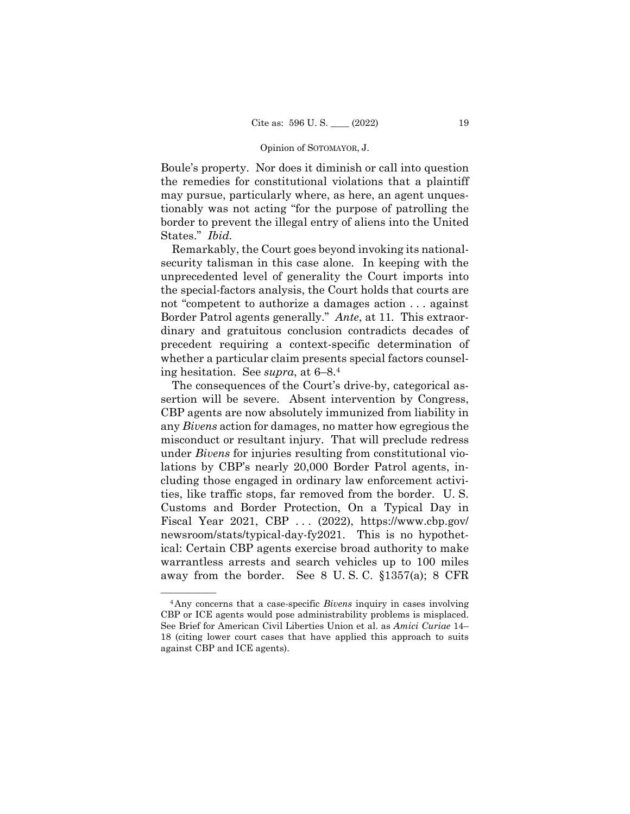Boule's property. Nor does it diminish or call into question the remedies for constitutional violations that a plaintiff may pursue, particularly where, as here, an agent unquestionably was not acting "for the purpose of patrolling the border to prevent the illegal entry of aliens into the United States." *Ibid.* 

 Border Patrol agents generally." *Ante*, at 11*.* This extraor-Remarkably, the Court goes beyond invoking its nationalsecurity talisman in this case alone. In keeping with the unprecedented level of generality the Court imports into the special-factors analysis, the Court holds that courts are not "competent to authorize a damages action . . . against dinary and gratuitous conclusion contradicts decades of precedent requiring a context-specific determination of whether a particular claim presents special factors counseling hesitation. See *supra*, at 6–8.4

The consequences of the Court's drive-by, categorical assertion will be severe. Absent intervention by Congress, CBP agents are now absolutely immunized from liability in any *Bivens* action for damages, no matter how egregious the misconduct or resultant injury. That will preclude redress under *Bivens* for injuries resulting from constitutional violations by CBP's nearly 20,000 Border Patrol agents, including those engaged in ordinary law enforcement activities, like traffic stops, far removed from the border. U. S. Customs and Border Protection, On a Typical Day in Fiscal Year 2021, CBP . . . (2022), https://www.cbp.gov/ newsroom/stats/typical-day-fy2021. This is no hypothetical: Certain CBP agents exercise broad authority to make warrantless arrests and search vehicles up to 100 miles away from the border. See 8 U. S. C. §1357(a); 8 CFR

 CBP or ICE agents would pose administrability problems is misplaced. <sup>4</sup>Any concerns that a case-specific *Bivens* inquiry in cases involving See Brief for American Civil Liberties Union et al. as *Amici Curiae* 14– 18 (citing lower court cases that have applied this approach to suits against CBP and ICE agents).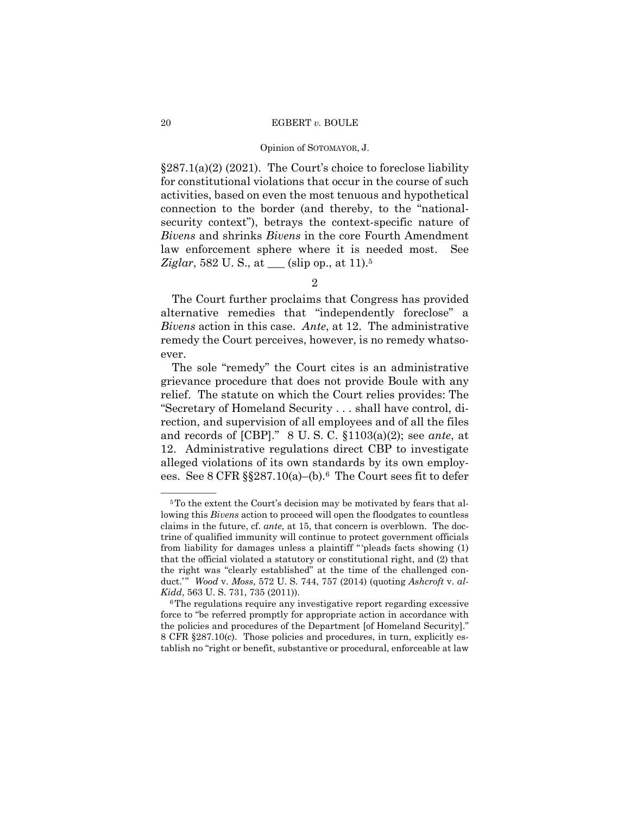#### Opinion of SOTOMAYOR, J.

§287.1(a)(2) (2021). The Court's choice to foreclose liability for constitutional violations that occur in the course of such activities, based on even the most tenuous and hypothetical connection to the border (and thereby, to the "nationalsecurity context"), betrays the context-specific nature of *Bivens* and shrinks *Bivens* in the core Fourth Amendment law enforcement sphere where it is needed most. See *Ziglar*, 582 U. S., at <u>equal</u> (slip op., at 11).<sup>5</sup>

# 2

The Court further proclaims that Congress has provided alternative remedies that "independently foreclose" a *Bivens* action in this case. *Ante*, at 12. The administrative remedy the Court perceives, however, is no remedy whatsoever.

The sole "remedy" the Court cites is an administrative grievance procedure that does not provide Boule with any relief. The statute on which the Court relies provides: The "Secretary of Homeland Security . . . shall have control, direction, and supervision of all employees and of all the files and records of [CBP]." 8 U. S. C. §1103(a)(2); see *ante*, at 12. Administrative regulations direct CBP to investigate alleged violations of its own standards by its own employees. See 8 CFR  $\S$  $287.10(a)$ –(b).<sup>6</sup> The Court sees fit to defer

<sup>&</sup>lt;sup>5</sup>To the extent the Court's decision may be motivated by fears that allowing this *Bivens* action to proceed will open the floodgates to countless claims in the future, cf. *ante*, at 15, that concern is overblown. The doctrine of qualified immunity will continue to protect government officials from liability for damages unless a plaintiff " 'pleads facts showing (1) that the official violated a statutory or constitutional right, and (2) that the right was "clearly established" at the time of the challenged conduct.'" Wood v. Moss, 572 U. S. 744, 757 (2014) (quoting *Ashcroft v. al-Kidd*, 563 U. S. 731, 735 (2011). <sup>6</sup>The regulations require any investigative report regarding excessive

force to "be referred promptly for appropriate action in accordance with the policies and procedures of the Department [of Homeland Security]." 8 CFR §287.10(c). Those policies and procedures, in turn, explicitly establish no "right or benefit, substantive or procedural, enforceable at law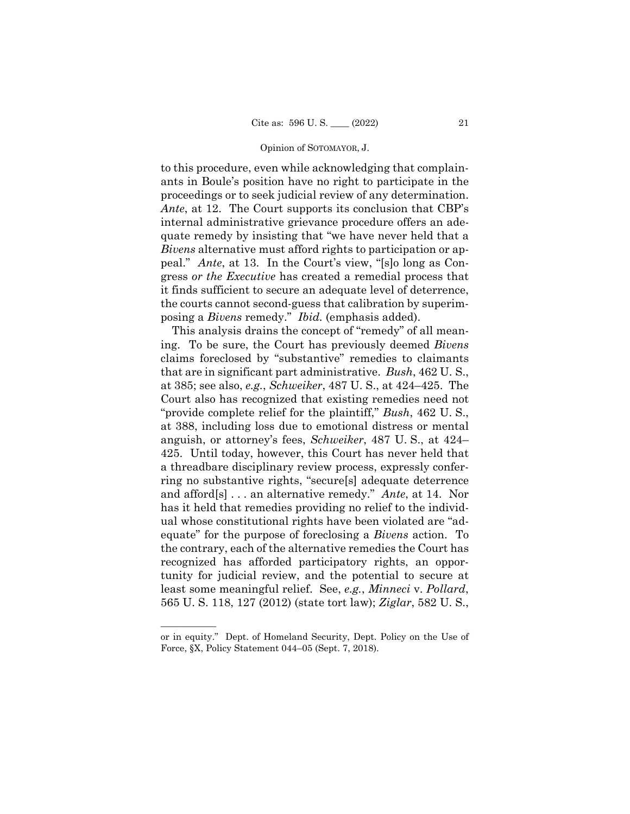to this procedure, even while acknowledging that complainants in Boule's position have no right to participate in the proceedings or to seek judicial review of any determination. *Ante*, at 12. The Court supports its conclusion that CBP's internal administrative grievance procedure offers an adequate remedy by insisting that "we have never held that a *Bivens* alternative must afford rights to participation or appeal." *Ante*, at 13. In the Court's view, "[s]o long as Congress *or the Executive* has created a remedial process that it finds sufficient to secure an adequate level of deterrence, the courts cannot second-guess that calibration by superimposing a *Bivens* remedy." *Ibid.* (emphasis added).

This analysis drains the concept of "remedy" of all meaning. To be sure, the Court has previously deemed *Bivens*  claims foreclosed by "substantive" remedies to claimants that are in significant part administrative. *Bush*, 462 U. S., at 385; see also, *e.g.*, *Schweiker*, 487 U. S., at 424–425. The Court also has recognized that existing remedies need not "provide complete relief for the plaintiff," *Bush*, 462 U. S., at 388, including loss due to emotional distress or mental anguish, or attorney's fees, *Schweiker*, 487 U. S., at 424– 425. Until today, however, this Court has never held that a threadbare disciplinary review process, expressly conferring no substantive rights, "secure[s] adequate deterrence and afford[s] . . . an alternative remedy." *Ante*, at 14. Nor has it held that remedies providing no relief to the individual whose constitutional rights have been violated are "adequate" for the purpose of foreclosing a *Bivens* action. To the contrary, each of the alternative remedies the Court has recognized has afforded participatory rights, an opportunity for judicial review, and the potential to secure at least some meaningful relief. See, *e.g.*, *Minneci* v. *Pollard*, 565 U. S. 118, 127 (2012) (state tort law); *Ziglar*, 582 U. S.,

——————

or in equity." Dept. of Homeland Security, Dept. Policy on the Use of Force, §X, Policy Statement 044–05 (Sept. 7, 2018).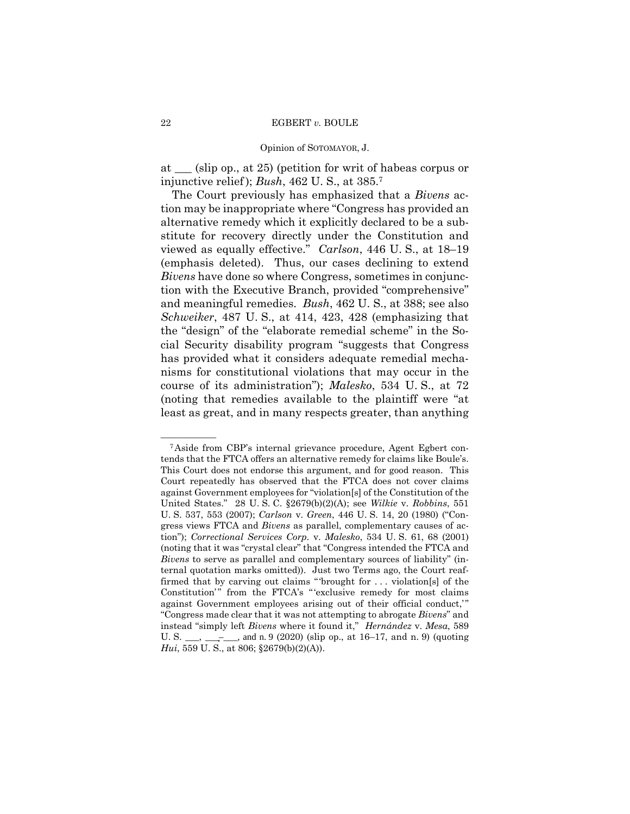#### Opinion of SOTOMAYOR, J.

at \_\_\_ (slip op., at 25) (petition for writ of habeas corpus or injunctive relief ); *Bush*, 462 U. S., at 385.7

The Court previously has emphasized that a *Bivens* action may be inappropriate where "Congress has provided an alternative remedy which it explicitly declared to be a substitute for recovery directly under the Constitution and viewed as equally effective." *Carlson*, 446 U. S., at 18–19 (emphasis deleted). Thus, our cases declining to extend *Bivens* have done so where Congress, sometimes in conjunction with the Executive Branch, provided "comprehensive" and meaningful remedies. *Bush*, 462 U. S., at 388; see also *Schweiker*, 487 U. S., at 414, 423, 428 (emphasizing that the "design" of the "elaborate remedial scheme" in the Social Security disability program "suggests that Congress has provided what it considers adequate remedial mechanisms for constitutional violations that may occur in the course of its administration"); *Malesko*, 534 U. S., at 72 (noting that remedies available to the plaintiff were "at least as great, and in many respects greater, than anything

 firmed that by carving out claims " 'brought for . . . violation[s] of the <sup>7</sup>Aside from CBP's internal grievance procedure, Agent Egbert contends that the FTCA offers an alternative remedy for claims like Boule's. This Court does not endorse this argument, and for good reason. This Court repeatedly has observed that the FTCA does not cover claims against Government employees for "violation[s] of the Constitution of the United States." 28 U. S. C. §2679(b)(2)(A); see *Wilkie* v. *Robbins*, 551 U. S. 537, 553 (2007); *Carlson* v. *Green*, 446 U. S. 14, 20 (1980) ("Congress views FTCA and *Bivens* as parallel, complementary causes of action"); *Correctional Services Corp.* v. *Malesko*, 534 U. S. 61, 68 (2001) (noting that it was "crystal clear" that "Congress intended the FTCA and *Bivens* to serve as parallel and complementary sources of liability" (internal quotation marks omitted)). Just two Terms ago, the Court reaf-Constitution'" from the FTCA's "'exclusive remedy for most claims against Government employees arising out of their official conduct," "Congress made clear that it was not attempting to abrogate *Bivens*" and instead "simply left *Bivens* where it found it," *Hernández* v. *Mesa*, 589 U. S.  $\frac{1}{\sqrt{2}}$ ,  $\frac{1}{\sqrt{2}}$ , and n. 9 (2020) (slip op., at 16–17, and n. 9) (quoting *Hui*, 559 U. S., at 806; §2679(b)(2)(A)).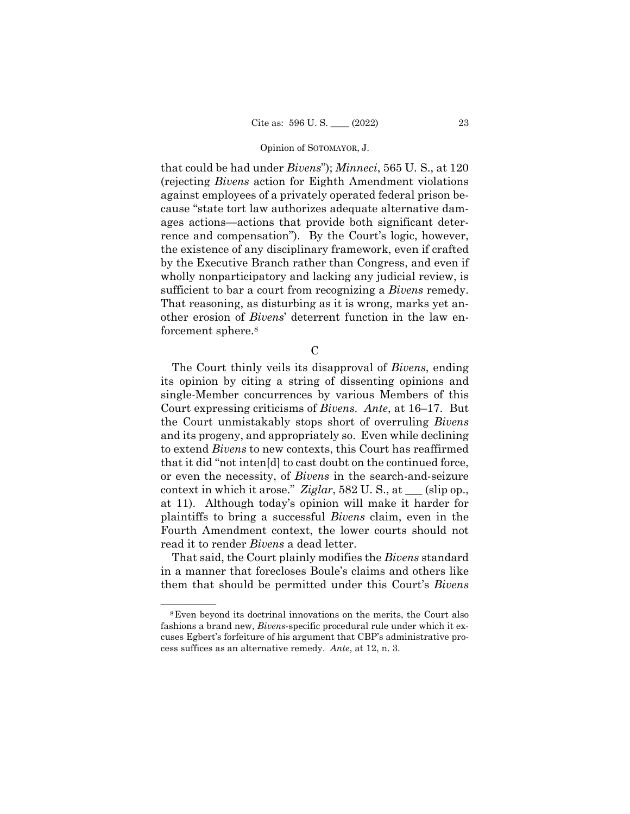that could be had under *Bivens*"); *Minneci*, 565 U. S., at 120 (rejecting *Bivens* action for Eighth Amendment violations against employees of a privately operated federal prison because "state tort law authorizes adequate alternative damages actions—actions that provide both significant deterrence and compensation"). By the Court's logic, however, the existence of any disciplinary framework, even if crafted by the Executive Branch rather than Congress, and even if wholly nonparticipatory and lacking any judicial review, is sufficient to bar a court from recognizing a *Bivens* remedy. That reasoning, as disturbing as it is wrong, marks yet another erosion of *Bivens*' deterrent function in the law enforcement sphere.<sup>8</sup>

 $\mathcal{C}$ 

The Court thinly veils its disapproval of *Bivens*, ending its opinion by citing a string of dissenting opinions and single-Member concurrences by various Members of this Court expressing criticisms of *Bivens*. *Ante*, at 16–17. But the Court unmistakably stops short of overruling *Bivens*  and its progeny, and appropriately so. Even while declining to extend *Bivens* to new contexts, this Court has reaffirmed that it did "not inten[d] to cast doubt on the continued force, or even the necessity, of *Bivens* in the search-and-seizure context in which it arose." *Ziglar*, 582 U. S., at \_\_\_ (slip op., at 11). Although today's opinion will make it harder for plaintiffs to bring a successful *Bivens* claim, even in the Fourth Amendment context, the lower courts should not read it to render *Bivens* a dead letter.

That said, the Court plainly modifies the *Bivens* standard in a manner that forecloses Boule's claims and others like them that should be permitted under this Court's *Bivens* 

<sup>&</sup>lt;sup>8</sup>Even beyond its doctrinal innovations on the merits, the Court also fashions a brand new, *Bivens*-specific procedural rule under which it excuses Egbert's forfeiture of his argument that CBP's administrative process suffices as an alternative remedy. *Ante*, at 12, n. 3.